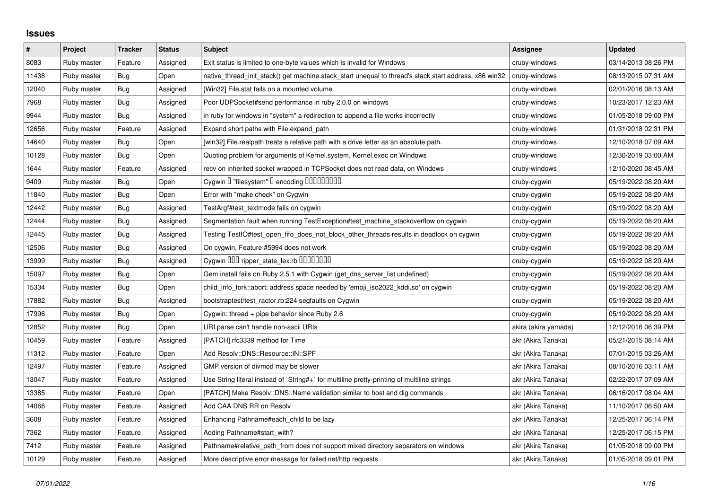## **Issues**

| $\pmb{\#}$ | Project     | <b>Tracker</b> | <b>Status</b> | <b>Subject</b>                                                                                        | <b>Assignee</b>      | <b>Updated</b>      |
|------------|-------------|----------------|---------------|-------------------------------------------------------------------------------------------------------|----------------------|---------------------|
| 8083       | Ruby master | Feature        | Assigned      | Exit status is limited to one-byte values which is invalid for Windows                                | cruby-windows        | 03/14/2013 08:26 PM |
| 11438      | Ruby master | Bug            | Open          | native thread init stack() get machine.stack start unequal to thread's stack start address, x86 win32 | cruby-windows        | 08/13/2015 07:31 AM |
| 12040      | Ruby master | Bug            | Assigned      | [Win32] File.stat fails on a mounted volume                                                           | cruby-windows        | 02/01/2016 08:13 AM |
| 7968       | Ruby master | Bug            | Assigned      | Poor UDPSocket#send performance in ruby 2.0.0 on windows                                              | cruby-windows        | 10/23/2017 12:23 AM |
| 9944       | Ruby master | Bug            | Assigned      | in ruby for windows in "system" a redirection to append a file works incorrectly                      | cruby-windows        | 01/05/2018 09:00 PM |
| 12656      | Ruby master | Feature        | Assigned      | Expand short paths with File.expand_path                                                              | cruby-windows        | 01/31/2018 02:31 PM |
| 14640      | Ruby master | Bug            | Open          | [win32] File.realpath treats a relative path with a drive letter as an absolute path.                 | cruby-windows        | 12/10/2018 07:09 AM |
| 10128      | Ruby master | Bug            | Open          | Quoting problem for arguments of Kernel.system, Kernel.exec on Windows                                | cruby-windows        | 12/30/2019 03:00 AM |
| 1644       | Ruby master | Feature        | Assigned      | recv on inherited socket wrapped in TCPSocket does not read data, on Windows                          | cruby-windows        | 12/10/2020 08:45 AM |
| 9409       | Ruby master | Bug            | Open          | Cygwin I "filesystem" I encoding IIIIIIIIIIIII                                                        | cruby-cygwin         | 05/19/2022 08:20 AM |
| 11840      | Ruby master | Bug            | Open          | Error with "make check" on Cygwin                                                                     | cruby-cygwin         | 05/19/2022 08:20 AM |
| 12442      | Ruby master | <b>Bug</b>     | Assigned      | TestArgf#test_textmode fails on cygwin                                                                | cruby-cygwin         | 05/19/2022 08:20 AM |
| 12444      | Ruby master | <b>Bug</b>     | Assigned      | Segmentation fault when running TestException#test_machine_stackoverflow on cygwin                    | cruby-cygwin         | 05/19/2022 08:20 AM |
| 12445      | Ruby master | Bug            | Assigned      | Testing TestIO#test_open_fifo_does_not_block_other_threads results in deadlock on cygwin              | cruby-cygwin         | 05/19/2022 08:20 AM |
| 12506      | Ruby master | Bug            | Assigned      | On cygwin, Feature #5994 does not work                                                                | cruby-cygwin         | 05/19/2022 08:20 AM |
| 13999      | Ruby master | Bug            | Assigned      | Cygwin DDD ripper_state_lex.rb DDDDDDDD                                                               | cruby-cygwin         | 05/19/2022 08:20 AM |
| 15097      | Ruby master | Bug            | Open          | Gem install fails on Ruby 2.5.1 with Cygwin (get_dns_server_list undefined)                           | cruby-cygwin         | 05/19/2022 08:20 AM |
| 15334      | Ruby master | Bug            | Open          | child info fork::abort: address space needed by 'emoji iso2022 kddi.so' on cygwin                     | cruby-cygwin         | 05/19/2022 08:20 AM |
| 17882      | Ruby master | Bug            | Assigned      | bootstraptest/test_ractor.rb:224 segfaults on Cygwin                                                  | cruby-cygwin         | 05/19/2022 08:20 AM |
| 17996      | Ruby master | Bug            | Open          | Cygwin: thread + pipe behavior since Ruby 2.6                                                         | cruby-cygwin         | 05/19/2022 08:20 AM |
| 12852      | Ruby master | Bug            | Open          | URI.parse can't handle non-ascii URIs                                                                 | akira (akira yamada) | 12/12/2016 06:39 PM |
| 10459      | Ruby master | Feature        | Assigned      | [PATCH] rfc3339 method for Time                                                                       | akr (Akira Tanaka)   | 05/21/2015 08:14 AM |
| 11312      | Ruby master | Feature        | Open          | Add Resolv::DNS::Resource::IN::SPF                                                                    | akr (Akira Tanaka)   | 07/01/2015 03:26 AM |
| 12497      | Ruby master | Feature        | Assigned      | GMP version of divmod may be slower                                                                   | akr (Akira Tanaka)   | 08/10/2016 03:11 AM |
| 13047      | Ruby master | Feature        | Assigned      | Use String literal instead of `String#+` for multiline pretty-printing of multiline strings           | akr (Akira Tanaka)   | 02/22/2017 07:09 AM |
| 13385      | Ruby master | Feature        | Open          | [PATCH] Make Resolv::DNS::Name validation similar to host and dig commands                            | akr (Akira Tanaka)   | 06/16/2017 08:04 AM |
| 14066      | Ruby master | Feature        | Assigned      | Add CAA DNS RR on Resolv                                                                              | akr (Akira Tanaka)   | 11/10/2017 06:50 AM |
| 3608       | Ruby master | Feature        | Assigned      | Enhancing Pathname#each_child to be lazy                                                              | akr (Akira Tanaka)   | 12/25/2017 06:14 PM |
| 7362       | Ruby master | Feature        | Assigned      | Adding Pathname#start_with?                                                                           | akr (Akira Tanaka)   | 12/25/2017 06:15 PM |
| 7412       | Ruby master | Feature        | Assigned      | Pathname#relative_path_from does not support mixed directory separators on windows                    | akr (Akira Tanaka)   | 01/05/2018 09:00 PM |
| 10129      | Ruby master | Feature        | Assigned      | More descriptive error message for failed net/http requests                                           | akr (Akira Tanaka)   | 01/05/2018 09:01 PM |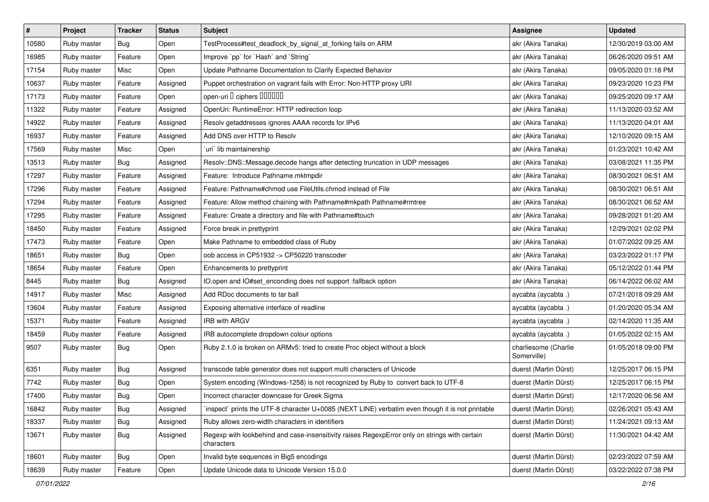| $\vert$ # | Project     | <b>Tracker</b> | <b>Status</b> | <b>Subject</b>                                                                                              | <b>Assignee</b>                     | <b>Updated</b>      |
|-----------|-------------|----------------|---------------|-------------------------------------------------------------------------------------------------------------|-------------------------------------|---------------------|
| 10580     | Ruby master | <b>Bug</b>     | Open          | TestProcess#test_deadlock_by_signal_at_forking fails on ARM                                                 | akr (Akira Tanaka)                  | 12/30/2019 03:00 AM |
| 16985     | Ruby master | Feature        | Open          | Improve `pp` for `Hash` and `String`                                                                        | akr (Akira Tanaka)                  | 06/26/2020 09:51 AM |
| 17154     | Ruby master | Misc           | Open          | Update Pathname Documentation to Clarify Expected Behavior                                                  | akr (Akira Tanaka)                  | 09/05/2020 01:18 PM |
| 10637     | Ruby master | Feature        | Assigned      | Puppet orchestration on vagrant fails with Error: Non-HTTP proxy URI                                        | akr (Akira Tanaka)                  | 09/23/2020 10:23 PM |
| 17173     | Ruby master | Feature        | Open          | open-uri I ciphers IIIIIII                                                                                  | akr (Akira Tanaka)                  | 09/25/2020 09:17 AM |
| 11322     | Ruby master | Feature        | Assigned      | OpenUri: RuntimeError: HTTP redirection loop                                                                | akr (Akira Tanaka)                  | 11/13/2020 03:52 AM |
| 14922     | Ruby master | Feature        | Assigned      | Resolv getaddresses ignores AAAA records for IPv6                                                           | akr (Akira Tanaka)                  | 11/13/2020 04:01 AM |
| 16937     | Ruby master | Feature        | Assigned      | Add DNS over HTTP to Resolv                                                                                 | akr (Akira Tanaka)                  | 12/10/2020 09:15 AM |
| 17569     | Ruby master | Misc           | Open          | uri` lib maintainership                                                                                     | akr (Akira Tanaka)                  | 01/23/2021 10:42 AM |
| 13513     | Ruby master | Bug            | Assigned      | Resolv::DNS::Message.decode hangs after detecting truncation in UDP messages                                | akr (Akira Tanaka)                  | 03/08/2021 11:35 PM |
| 17297     | Ruby master | Feature        | Assigned      | Feature: Introduce Pathname.mktmpdir                                                                        | akr (Akira Tanaka)                  | 08/30/2021 06:51 AM |
| 17296     | Ruby master | Feature        | Assigned      | Feature: Pathname#chmod use FileUtils.chmod instead of File                                                 | akr (Akira Tanaka)                  | 08/30/2021 06:51 AM |
| 17294     | Ruby master | Feature        | Assigned      | Feature: Allow method chaining with Pathname#mkpath Pathname#rmtree                                         | akr (Akira Tanaka)                  | 08/30/2021 06:52 AM |
| 17295     | Ruby master | Feature        | Assigned      | Feature: Create a directory and file with Pathname#touch                                                    | akr (Akira Tanaka)                  | 09/28/2021 01:20 AM |
| 18450     | Ruby master | Feature        | Assigned      | Force break in prettyprint                                                                                  | akr (Akira Tanaka)                  | 12/29/2021 02:02 PM |
| 17473     | Ruby master | Feature        | Open          | Make Pathname to embedded class of Ruby                                                                     | akr (Akira Tanaka)                  | 01/07/2022 09:25 AM |
| 18651     | Ruby master | Bug            | Open          | oob access in CP51932 -> CP50220 transcoder                                                                 | akr (Akira Tanaka)                  | 03/23/2022 01:17 PM |
| 18654     | Ruby master | Feature        | Open          | Enhancements to prettyprint                                                                                 | akr (Akira Tanaka)                  | 05/12/2022 01:44 PM |
| 8445      | Ruby master | <b>Bug</b>     | Assigned      | IO.open and IO#set_enconding does not support :fallback option                                              | akr (Akira Tanaka)                  | 06/14/2022 06:02 AM |
| 14917     | Ruby master | Misc           | Assigned      | Add RDoc documents to tar ball                                                                              | aycabta (aycabta .)                 | 07/21/2018 09:29 AM |
| 13604     | Ruby master | Feature        | Assigned      | Exposing alternative interface of readline                                                                  | aycabta (aycabta .)                 | 01/20/2020 05:34 AM |
| 15371     | Ruby master | Feature        | Assigned      | <b>IRB with ARGV</b>                                                                                        | aycabta (aycabta .)                 | 02/14/2020 11:35 AM |
| 18459     | Ruby master | Feature        | Assigned      | IRB autocomplete dropdown colour options                                                                    | aycabta (aycabta .)                 | 01/05/2022 02:15 AM |
| 9507      | Ruby master | Bug            | Open          | Ruby 2.1.0 is broken on ARMv5: tried to create Proc object without a block                                  | charliesome (Charlie<br>Somerville) | 01/05/2018 09:00 PM |
| 6351      | Ruby master | Bug            | Assigned      | transcode table generator does not support multi characters of Unicode                                      | duerst (Martin Dürst)               | 12/25/2017 06:15 PM |
| 7742      | Ruby master | Bug            | Open          | System encoding (Windows-1258) is not recognized by Ruby to convert back to UTF-8                           | duerst (Martin Dürst)               | 12/25/2017 06:15 PM |
| 17400     | Ruby master | <b>Bug</b>     | Open          | Incorrect character downcase for Greek Sigma                                                                | duerst (Martin Dürst)               | 12/17/2020 06:56 AM |
| 16842     | Ruby master | <b>Bug</b>     | Assigned      | inspect` prints the UTF-8 character U+0085 (NEXT LINE) verbatim even though it is not printable             | duerst (Martin Dürst)               | 02/26/2021 05:43 AM |
| 18337     | Ruby master | Bug            | Assigned      | Ruby allows zero-width characters in identifiers                                                            | duerst (Martin Dürst)               | 11/24/2021 09:13 AM |
| 13671     | Ruby master | <b>Bug</b>     | Assigned      | Regexp with lookbehind and case-insensitivity raises RegexpError only on strings with certain<br>characters | duerst (Martin Dürst)               | 11/30/2021 04:42 AM |
| 18601     | Ruby master | <b>Bug</b>     | Open          | Invalid byte sequences in Big5 encodings                                                                    | duerst (Martin Dürst)               | 02/23/2022 07:59 AM |
| 18639     | Ruby master | Feature        | Open          | Update Unicode data to Unicode Version 15.0.0                                                               | duerst (Martin Dürst)               | 03/22/2022 07:38 PM |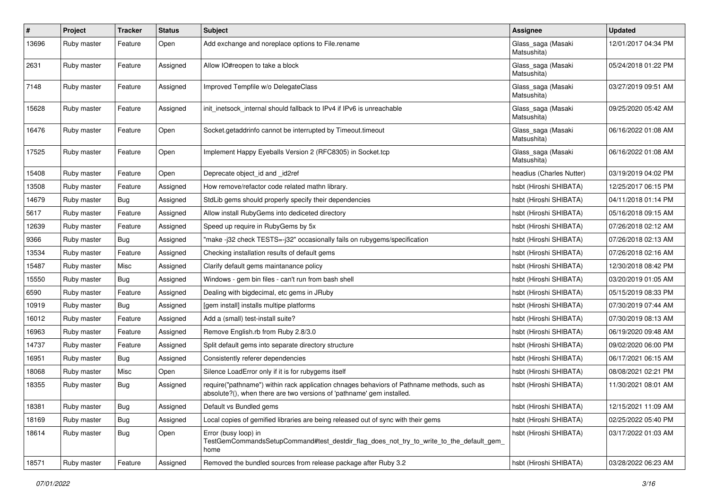| $\sharp$ | Project     | <b>Tracker</b> | <b>Status</b> | <b>Subject</b>                                                                                                                                                      | Assignee                          | <b>Updated</b>      |
|----------|-------------|----------------|---------------|---------------------------------------------------------------------------------------------------------------------------------------------------------------------|-----------------------------------|---------------------|
| 13696    | Ruby master | Feature        | Open          | Add exchange and noreplace options to File.rename                                                                                                                   | Glass_saga (Masaki<br>Matsushita) | 12/01/2017 04:34 PM |
| 2631     | Ruby master | Feature        | Assigned      | Allow IO#reopen to take a block                                                                                                                                     | Glass_saga (Masaki<br>Matsushita) | 05/24/2018 01:22 PM |
| 7148     | Ruby master | Feature        | Assigned      | Improved Tempfile w/o DelegateClass                                                                                                                                 | Glass_saga (Masaki<br>Matsushita) | 03/27/2019 09:51 AM |
| 15628    | Ruby master | Feature        | Assigned      | init_inetsock_internal should fallback to IPv4 if IPv6 is unreachable                                                                                               | Glass_saga (Masaki<br>Matsushita) | 09/25/2020 05:42 AM |
| 16476    | Ruby master | Feature        | Open          | Socket.getaddrinfo cannot be interrupted by Timeout.timeout                                                                                                         | Glass_saga (Masaki<br>Matsushita) | 06/16/2022 01:08 AM |
| 17525    | Ruby master | Feature        | Open          | Implement Happy Eyeballs Version 2 (RFC8305) in Socket.tcp                                                                                                          | Glass_saga (Masaki<br>Matsushita) | 06/16/2022 01:08 AM |
| 15408    | Ruby master | Feature        | Open          | Deprecate object id and id2ref                                                                                                                                      | headius (Charles Nutter)          | 03/19/2019 04:02 PM |
| 13508    | Ruby master | Feature        | Assigned      | How remove/refactor code related mathn library.                                                                                                                     | hsbt (Hiroshi SHIBATA)            | 12/25/2017 06:15 PM |
| 14679    | Ruby master | Bug            | Assigned      | StdLib gems should properly specify their dependencies                                                                                                              | hsbt (Hiroshi SHIBATA)            | 04/11/2018 01:14 PM |
| 5617     | Ruby master | Feature        | Assigned      | Allow install RubyGems into dediceted directory                                                                                                                     | hsbt (Hiroshi SHIBATA)            | 05/16/2018 09:15 AM |
| 12639    | Ruby master | Feature        | Assigned      | Speed up require in RubyGems by 5x                                                                                                                                  | hsbt (Hiroshi SHIBATA)            | 07/26/2018 02:12 AM |
| 9366     | Ruby master | Bug            | Assigned      | "make-j32 check TESTS=-j32" occasionally fails on rubygems/specification                                                                                            | hsbt (Hiroshi SHIBATA)            | 07/26/2018 02:13 AM |
| 13534    | Ruby master | Feature        | Assigned      | Checking installation results of default gems                                                                                                                       | hsbt (Hiroshi SHIBATA)            | 07/26/2018 02:16 AM |
| 15487    | Ruby master | Misc           | Assigned      | Clarify default gems maintanance policy                                                                                                                             | hsbt (Hiroshi SHIBATA)            | 12/30/2018 08:42 PM |
| 15550    | Ruby master | Bug            | Assigned      | Windows - gem bin files - can't run from bash shell                                                                                                                 | hsbt (Hiroshi SHIBATA)            | 03/20/2019 01:05 AM |
| 6590     | Ruby master | Feature        | Assigned      | Dealing with bigdecimal, etc gems in JRuby                                                                                                                          | hsbt (Hiroshi SHIBATA)            | 05/15/2019 08:33 PM |
| 10919    | Ruby master | Bug            | Assigned      | [gem install] installs multipe platforms                                                                                                                            | hsbt (Hiroshi SHIBATA)            | 07/30/2019 07:44 AM |
| 16012    | Ruby master | Feature        | Assigned      | Add a (small) test-install suite?                                                                                                                                   | hsbt (Hiroshi SHIBATA)            | 07/30/2019 08:13 AM |
| 16963    | Ruby master | Feature        | Assigned      | Remove English.rb from Ruby 2.8/3.0                                                                                                                                 | hsbt (Hiroshi SHIBATA)            | 06/19/2020 09:48 AM |
| 14737    | Ruby master | Feature        | Assigned      | Split default gems into separate directory structure                                                                                                                | hsbt (Hiroshi SHIBATA)            | 09/02/2020 06:00 PM |
| 16951    | Ruby master | <b>Bug</b>     | Assigned      | Consistently referer dependencies                                                                                                                                   | hsbt (Hiroshi SHIBATA)            | 06/17/2021 06:15 AM |
| 18068    | Ruby master | Misc           | Open          | Silence LoadError only if it is for rubygems itself                                                                                                                 | hsbt (Hiroshi SHIBATA)            | 08/08/2021 02:21 PM |
| 18355    | Ruby master | Bug            | Assigned      | require("pathname") within rack application chnages behaviors of Pathname methods, such as<br>absolute?(), when there are two versions of 'pathname' gem installed. | hsbt (Hiroshi SHIBATA)            | 11/30/2021 08:01 AM |
| 18381    | Ruby master | <b>Bug</b>     | Assigned      | Default vs Bundled gems                                                                                                                                             | hsbt (Hiroshi SHIBATA)            | 12/15/2021 11:09 AM |
| 18169    | Ruby master | Bug            | Assigned      | Local copies of gemified libraries are being released out of sync with their gems                                                                                   | hsbt (Hiroshi SHIBATA)            | 02/25/2022 05:40 PM |
| 18614    | Ruby master | <b>Bug</b>     | Open          | Error (busy loop) in<br>TestGemCommandsSetupCommand#test_destdir_flag_does_not_try_to_write_to_the_default_gem_<br>home                                             | hsbt (Hiroshi SHIBATA)            | 03/17/2022 01:03 AM |
| 18571    | Ruby master | Feature        | Assigned      | Removed the bundled sources from release package after Ruby 3.2                                                                                                     | hsbt (Hiroshi SHIBATA)            | 03/28/2022 06:23 AM |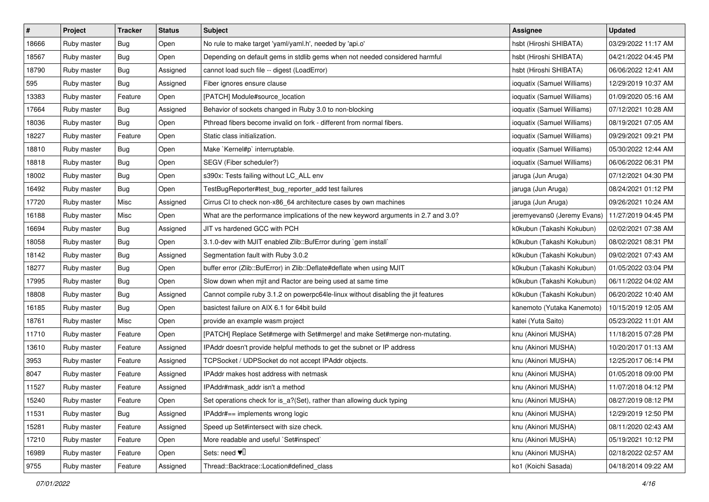| #     | Project     | Tracker    | <b>Status</b> | <b>Subject</b>                                                                     | Assignee                    | <b>Updated</b>      |
|-------|-------------|------------|---------------|------------------------------------------------------------------------------------|-----------------------------|---------------------|
| 18666 | Ruby master | <b>Bug</b> | Open          | No rule to make target 'yaml/yaml.h', needed by 'api.o'                            | hsbt (Hiroshi SHIBATA)      | 03/29/2022 11:17 AM |
| 18567 | Ruby master | Bug        | Open          | Depending on default gems in stdlib gems when not needed considered harmful        | hsbt (Hiroshi SHIBATA)      | 04/21/2022 04:45 PM |
| 18790 | Ruby master | <b>Bug</b> | Assigned      | cannot load such file -- digest (LoadError)                                        | hsbt (Hiroshi SHIBATA)      | 06/06/2022 12:41 AM |
| 595   | Ruby master | Bug        | Assigned      | Fiber ignores ensure clause                                                        | ioquatix (Samuel Williams)  | 12/29/2019 10:37 AM |
| 13383 | Ruby master | Feature    | Open          | [PATCH] Module#source_location                                                     | ioquatix (Samuel Williams)  | 01/09/2020 05:16 AM |
| 17664 | Ruby master | <b>Bug</b> | Assigned      | Behavior of sockets changed in Ruby 3.0 to non-blocking                            | ioquatix (Samuel Williams)  | 07/12/2021 10:28 AM |
| 18036 | Ruby master | <b>Bug</b> | Open          | Pthread fibers become invalid on fork - different from normal fibers.              | ioquatix (Samuel Williams)  | 08/19/2021 07:05 AM |
| 18227 | Ruby master | Feature    | Open          | Static class initialization.                                                       | ioquatix (Samuel Williams)  | 09/29/2021 09:21 PM |
| 18810 | Ruby master | <b>Bug</b> | Open          | Make `Kernel#p` interruptable.                                                     | ioquatix (Samuel Williams)  | 05/30/2022 12:44 AM |
| 18818 | Ruby master | Bug        | Open          | SEGV (Fiber scheduler?)                                                            | ioquatix (Samuel Williams)  | 06/06/2022 06:31 PM |
| 18002 | Ruby master | <b>Bug</b> | Open          | s390x: Tests failing without LC_ALL env                                            | jaruga (Jun Aruga)          | 07/12/2021 04:30 PM |
| 16492 | Ruby master | <b>Bug</b> | Open          | TestBugReporter#test_bug_reporter_add test failures                                | jaruga (Jun Aruga)          | 08/24/2021 01:12 PM |
| 17720 | Ruby master | Misc       | Assigned      | Cirrus CI to check non-x86_64 architecture cases by own machines                   | jaruga (Jun Aruga)          | 09/26/2021 10:24 AM |
| 16188 | Ruby master | Misc       | Open          | What are the performance implications of the new keyword arguments in 2.7 and 3.0? | jeremyevans0 (Jeremy Evans) | 11/27/2019 04:45 PM |
| 16694 | Ruby master | <b>Bug</b> | Assigned      | JIT vs hardened GCC with PCH                                                       | k0kubun (Takashi Kokubun)   | 02/02/2021 07:38 AM |
| 18058 | Ruby master | Bug        | Open          | 3.1.0-dev with MJIT enabled Zlib::BufError during `gem install`                    | k0kubun (Takashi Kokubun)   | 08/02/2021 08:31 PM |
| 18142 | Ruby master | <b>Bug</b> | Assigned      | Segmentation fault with Ruby 3.0.2                                                 | k0kubun (Takashi Kokubun)   | 09/02/2021 07:43 AM |
| 18277 | Ruby master | Bug        | Open          | buffer error (Zlib::BufError) in Zlib::Deflate#deflate when using MJIT             | k0kubun (Takashi Kokubun)   | 01/05/2022 03:04 PM |
| 17995 | Ruby master | <b>Bug</b> | Open          | Slow down when mjit and Ractor are being used at same time                         | k0kubun (Takashi Kokubun)   | 06/11/2022 04:02 AM |
| 18808 | Ruby master | Bug        | Assigned      | Cannot compile ruby 3.1.2 on powerpc64le-linux without disabling the jit features  | k0kubun (Takashi Kokubun)   | 06/20/2022 10:40 AM |
| 16185 | Ruby master | Bug        | Open          | basictest failure on AIX 6.1 for 64bit build                                       | kanemoto (Yutaka Kanemoto)  | 10/15/2019 12:05 AM |
| 18761 | Ruby master | Misc       | Open          | provide an example wasm project                                                    | katei (Yuta Saito)          | 05/23/2022 11:01 AM |
| 11710 | Ruby master | Feature    | Open          | [PATCH] Replace Set#merge with Set#merge! and make Set#merge non-mutating.         | knu (Akinori MUSHA)         | 11/18/2015 07:28 PM |
| 13610 | Ruby master | Feature    | Assigned      | IPAddr doesn't provide helpful methods to get the subnet or IP address             | knu (Akinori MUSHA)         | 10/20/2017 01:13 AM |
| 3953  | Ruby master | Feature    | Assigned      | TCPSocket / UDPSocket do not accept IPAddr objects.                                | knu (Akinori MUSHA)         | 12/25/2017 06:14 PM |
| 8047  | Ruby master | Feature    | Assigned      | IPAddr makes host address with netmask                                             | knu (Akinori MUSHA)         | 01/05/2018 09:00 PM |
| 11527 | Ruby master | Feature    | Assigned      | IPAddr#mask_addr isn't a method                                                    | knu (Akinori MUSHA)         | 11/07/2018 04:12 PM |
| 15240 | Ruby master | Feature    | Open          | Set operations check for is_a?(Set), rather than allowing duck typing              | knu (Akinori MUSHA)         | 08/27/2019 08:12 PM |
| 11531 | Ruby master | Bug        | Assigned      | IPAddr#== implements wrong logic                                                   | knu (Akinori MUSHA)         | 12/29/2019 12:50 PM |
| 15281 | Ruby master | Feature    | Assigned      | Speed up Set#intersect with size check.                                            | knu (Akinori MUSHA)         | 08/11/2020 02:43 AM |
| 17210 | Ruby master | Feature    | Open          | More readable and useful `Set#inspect`                                             | knu (Akinori MUSHA)         | 05/19/2021 10:12 PM |
| 16989 | Ruby master | Feature    | Open          | Sets: need $\Psi$                                                                  | knu (Akinori MUSHA)         | 02/18/2022 02:57 AM |
| 9755  | Ruby master | Feature    | Assigned      | Thread::Backtrace::Location#defined_class                                          | ko1 (Koichi Sasada)         | 04/18/2014 09:22 AM |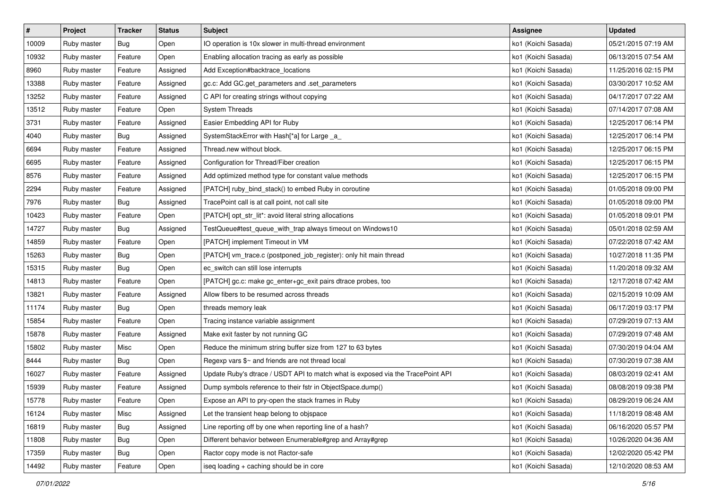| $\vert$ # | Project     | <b>Tracker</b> | <b>Status</b> | <b>Subject</b>                                                                  | <b>Assignee</b>     | <b>Updated</b>      |
|-----------|-------------|----------------|---------------|---------------------------------------------------------------------------------|---------------------|---------------------|
| 10009     | Ruby master | Bug            | Open          | IO operation is 10x slower in multi-thread environment                          | ko1 (Koichi Sasada) | 05/21/2015 07:19 AM |
| 10932     | Ruby master | Feature        | Open          | Enabling allocation tracing as early as possible                                | ko1 (Koichi Sasada) | 06/13/2015 07:54 AM |
| 8960      | Ruby master | Feature        | Assigned      | Add Exception#backtrace_locations                                               | ko1 (Koichi Sasada) | 11/25/2016 02:15 PM |
| 13388     | Ruby master | Feature        | Assigned      | gc.c: Add GC.get_parameters and .set_parameters                                 | ko1 (Koichi Sasada) | 03/30/2017 10:52 AM |
| 13252     | Ruby master | Feature        | Assigned      | C API for creating strings without copying                                      | ko1 (Koichi Sasada) | 04/17/2017 07:22 AM |
| 13512     | Ruby master | Feature        | Open          | <b>System Threads</b>                                                           | ko1 (Koichi Sasada) | 07/14/2017 07:08 AM |
| 3731      | Ruby master | Feature        | Assigned      | Easier Embedding API for Ruby                                                   | ko1 (Koichi Sasada) | 12/25/2017 06:14 PM |
| 4040      | Ruby master | Bug            | Assigned      | SystemStackError with Hash[*a] for Large _a_                                    | ko1 (Koichi Sasada) | 12/25/2017 06:14 PM |
| 6694      | Ruby master | Feature        | Assigned      | Thread.new without block.                                                       | ko1 (Koichi Sasada) | 12/25/2017 06:15 PM |
| 6695      | Ruby master | Feature        | Assigned      | Configuration for Thread/Fiber creation                                         | ko1 (Koichi Sasada) | 12/25/2017 06:15 PM |
| 8576      | Ruby master | Feature        | Assigned      | Add optimized method type for constant value methods                            | ko1 (Koichi Sasada) | 12/25/2017 06:15 PM |
| 2294      | Ruby master | Feature        | Assigned      | [PATCH] ruby_bind_stack() to embed Ruby in coroutine                            | ko1 (Koichi Sasada) | 01/05/2018 09:00 PM |
| 7976      | Ruby master | Bug            | Assigned      | TracePoint call is at call point, not call site                                 | ko1 (Koichi Sasada) | 01/05/2018 09:00 PM |
| 10423     | Ruby master | Feature        | Open          | [PATCH] opt_str_lit*: avoid literal string allocations                          | ko1 (Koichi Sasada) | 01/05/2018 09:01 PM |
| 14727     | Ruby master | Bug            | Assigned      | TestQueue#test_queue_with_trap always timeout on Windows10                      | ko1 (Koichi Sasada) | 05/01/2018 02:59 AM |
| 14859     | Ruby master | Feature        | Open          | [PATCH] implement Timeout in VM                                                 | ko1 (Koichi Sasada) | 07/22/2018 07:42 AM |
| 15263     | Ruby master | Bug            | Open          | [PATCH] vm_trace.c (postponed_job_register): only hit main thread               | ko1 (Koichi Sasada) | 10/27/2018 11:35 PM |
| 15315     | Ruby master | Bug            | Open          | ec_switch can still lose interrupts                                             | ko1 (Koichi Sasada) | 11/20/2018 09:32 AM |
| 14813     | Ruby master | Feature        | Open          | [PATCH] gc.c: make gc_enter+gc_exit pairs dtrace probes, too                    | ko1 (Koichi Sasada) | 12/17/2018 07:42 AM |
| 13821     | Ruby master | Feature        | Assigned      | Allow fibers to be resumed across threads                                       | ko1 (Koichi Sasada) | 02/15/2019 10:09 AM |
| 11174     | Ruby master | Bug            | Open          | threads memory leak                                                             | ko1 (Koichi Sasada) | 06/17/2019 03:17 PM |
| 15854     | Ruby master | Feature        | Open          | Tracing instance variable assignment                                            | ko1 (Koichi Sasada) | 07/29/2019 07:13 AM |
| 15878     | Ruby master | Feature        | Assigned      | Make exit faster by not running GC                                              | ko1 (Koichi Sasada) | 07/29/2019 07:48 AM |
| 15802     | Ruby master | Misc           | Open          | Reduce the minimum string buffer size from 127 to 63 bytes                      | ko1 (Koichi Sasada) | 07/30/2019 04:04 AM |
| 8444      | Ruby master | Bug            | Open          | Regexp vars \$~ and friends are not thread local                                | ko1 (Koichi Sasada) | 07/30/2019 07:38 AM |
| 16027     | Ruby master | Feature        | Assigned      | Update Ruby's dtrace / USDT API to match what is exposed via the TracePoint API | ko1 (Koichi Sasada) | 08/03/2019 02:41 AM |
| 15939     | Ruby master | Feature        | Assigned      | Dump symbols reference to their fstr in ObjectSpace.dump()                      | ko1 (Koichi Sasada) | 08/08/2019 09:38 PM |
| 15778     | Ruby master | Feature        | Open          | Expose an API to pry-open the stack frames in Ruby                              | ko1 (Koichi Sasada) | 08/29/2019 06:24 AM |
| 16124     | Ruby master | Misc           | Assigned      | Let the transient heap belong to objspace                                       | ko1 (Koichi Sasada) | 11/18/2019 08:48 AM |
| 16819     | Ruby master | Bug            | Assigned      | Line reporting off by one when reporting line of a hash?                        | ko1 (Koichi Sasada) | 06/16/2020 05:57 PM |
| 11808     | Ruby master | Bug            | Open          | Different behavior between Enumerable#grep and Array#grep                       | ko1 (Koichi Sasada) | 10/26/2020 04:36 AM |
| 17359     | Ruby master | Bug            | Open          | Ractor copy mode is not Ractor-safe                                             | ko1 (Koichi Sasada) | 12/02/2020 05:42 PM |
| 14492     | Ruby master | Feature        | Open          | iseq loading + caching should be in core                                        | ko1 (Koichi Sasada) | 12/10/2020 08:53 AM |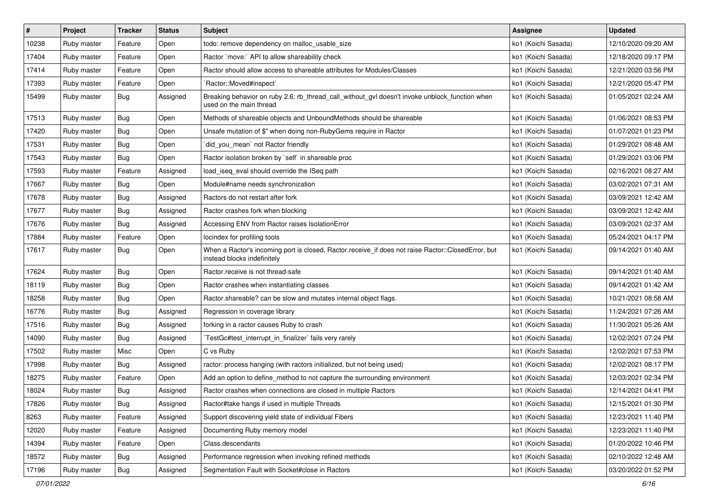| $\vert$ # | Project     | <b>Tracker</b> | <b>Status</b> | <b>Subject</b>                                                                                                                    | Assignee            | <b>Updated</b>      |
|-----------|-------------|----------------|---------------|-----------------------------------------------------------------------------------------------------------------------------------|---------------------|---------------------|
| 10238     | Ruby master | Feature        | Open          | todo: remove dependency on malloc_usable_size                                                                                     | ko1 (Koichi Sasada) | 12/10/2020 09:20 AM |
| 17404     | Ruby master | Feature        | Open          | Ractor `move:` API to allow shareability check                                                                                    | ko1 (Koichi Sasada) | 12/18/2020 09:17 PM |
| 17414     | Ruby master | Feature        | Open          | Ractor should allow access to shareable attributes for Modules/Classes                                                            | ko1 (Koichi Sasada) | 12/21/2020 03:56 PM |
| 17393     | Ruby master | Feature        | Open          | `Ractor::Moved#inspect`                                                                                                           | ko1 (Koichi Sasada) | 12/21/2020 05:47 PM |
| 15499     | Ruby master | Bug            | Assigned      | Breaking behavior on ruby 2.6: rb_thread_call_without_gvl doesn't invoke unblock_function when<br>used on the main thread         | ko1 (Koichi Sasada) | 01/05/2021 02:24 AM |
| 17513     | Ruby master | Bug            | Open          | Methods of shareable objects and UnboundMethods should be shareable                                                               | ko1 (Koichi Sasada) | 01/06/2021 08:53 PM |
| 17420     | Ruby master | Bug            | Open          | Unsafe mutation of \$" when doing non-RubyGems require in Ractor                                                                  | ko1 (Koichi Sasada) | 01/07/2021 01:23 PM |
| 17531     | Ruby master | <b>Bug</b>     | Open          | `did_you_mean` not Ractor friendly                                                                                                | ko1 (Koichi Sasada) | 01/29/2021 08:48 AM |
| 17543     | Ruby master | <b>Bug</b>     | Open          | Ractor isolation broken by `self` in shareable proc                                                                               | ko1 (Koichi Sasada) | 01/29/2021 03:06 PM |
| 17593     | Ruby master | Feature        | Assigned      | load_iseq_eval should override the ISeq path                                                                                      | ko1 (Koichi Sasada) | 02/16/2021 08:27 AM |
| 17667     | Ruby master | Bug            | Open          | Module#name needs synchronization                                                                                                 | ko1 (Koichi Sasada) | 03/02/2021 07:31 AM |
| 17678     | Ruby master | Bug            | Assigned      | Ractors do not restart after fork                                                                                                 | ko1 (Koichi Sasada) | 03/09/2021 12:42 AM |
| 17677     | Ruby master | Bug            | Assigned      | Ractor crashes fork when blocking                                                                                                 | ko1 (Koichi Sasada) | 03/09/2021 12:42 AM |
| 17676     | Ruby master | Bug            | Assigned      | Accessing ENV from Ractor raises IsolationError                                                                                   | ko1 (Koichi Sasada) | 03/09/2021 02:37 AM |
| 17884     | Ruby master | Feature        | Open          | locindex for profiling tools                                                                                                      | ko1 (Koichi Sasada) | 05/24/2021 04:17 PM |
| 17617     | Ruby master | Bug            | Open          | When a Ractor's incoming port is closed, Ractor.receive_if does not raise Ractor::ClosedError, but<br>instead blocks indefinitely | ko1 (Koichi Sasada) | 09/14/2021 01:40 AM |
| 17624     | Ruby master | Bug            | Open          | Ractor.receive is not thread-safe                                                                                                 | ko1 (Koichi Sasada) | 09/14/2021 01:40 AM |
| 18119     | Ruby master | Bug            | Open          | Ractor crashes when instantiating classes                                                                                         | ko1 (Koichi Sasada) | 09/14/2021 01:42 AM |
| 18258     | Ruby master | Bug            | Open          | Ractor.shareable? can be slow and mutates internal object flags.                                                                  | ko1 (Koichi Sasada) | 10/21/2021 08:58 AM |
| 16776     | Ruby master | Bug            | Assigned      | Regression in coverage library                                                                                                    | ko1 (Koichi Sasada) | 11/24/2021 07:26 AM |
| 17516     | Ruby master | Bug            | Assigned      | forking in a ractor causes Ruby to crash                                                                                          | ko1 (Koichi Sasada) | 11/30/2021 05:26 AM |
| 14090     | Ruby master | Bug            | Assigned      | TestGc#test_interrupt_in_finalizer` fails very rarely                                                                             | ko1 (Koichi Sasada) | 12/02/2021 07:24 PM |
| 17502     | Ruby master | Misc           | Open          | C vs Ruby                                                                                                                         | ko1 (Koichi Sasada) | 12/02/2021 07:53 PM |
| 17998     | Ruby master | Bug            | Assigned      | ractor: process hanging (with ractors initialized, but not being used)                                                            | ko1 (Koichi Sasada) | 12/02/2021 08:17 PM |
| 18275     | Ruby master | Feature        | Open          | Add an option to define_method to not capture the surrounding environment                                                         | ko1 (Koichi Sasada) | 12/03/2021 02:34 PM |
| 18024     | Ruby master | Bug            | Assigned      | Ractor crashes when connections are closed in multiple Ractors                                                                    | ko1 (Koichi Sasada) | 12/14/2021 04:41 PM |
| 17826     | Ruby master | Bug            | Assigned      | Ractor#take hangs if used in multiple Threads                                                                                     | ko1 (Koichi Sasada) | 12/15/2021 01:30 PM |
| 8263      | Ruby master | Feature        | Assigned      | Support discovering yield state of individual Fibers                                                                              | ko1 (Koichi Sasada) | 12/23/2021 11:40 PM |
| 12020     | Ruby master | Feature        | Assigned      | Documenting Ruby memory model                                                                                                     | ko1 (Koichi Sasada) | 12/23/2021 11:40 PM |
| 14394     | Ruby master | Feature        | Open          | Class.descendants                                                                                                                 | ko1 (Koichi Sasada) | 01/20/2022 10:46 PM |
| 18572     | Ruby master | Bug            | Assigned      | Performance regression when invoking refined methods                                                                              | ko1 (Koichi Sasada) | 02/10/2022 12:48 AM |
| 17196     | Ruby master | <b>Bug</b>     | Assigned      | Segmentation Fault with Socket#close in Ractors                                                                                   | ko1 (Koichi Sasada) | 03/20/2022 01:52 PM |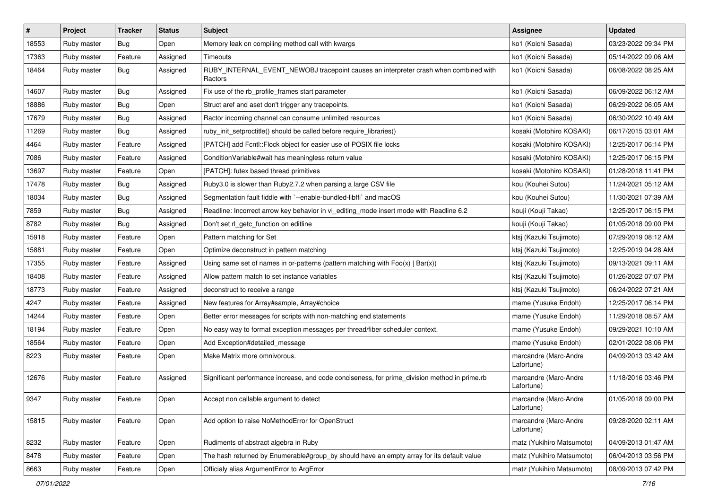| $\vert$ # | Project     | <b>Tracker</b> | <b>Status</b> | <b>Subject</b>                                                                                  | <b>Assignee</b>                     | <b>Updated</b>      |
|-----------|-------------|----------------|---------------|-------------------------------------------------------------------------------------------------|-------------------------------------|---------------------|
| 18553     | Ruby master | Bug            | Open          | Memory leak on compiling method call with kwargs                                                | ko1 (Koichi Sasada)                 | 03/23/2022 09:34 PM |
| 17363     | Ruby master | Feature        | Assigned      | Timeouts                                                                                        | ko1 (Koichi Sasada)                 | 05/14/2022 09:06 AM |
| 18464     | Ruby master | Bug            | Assigned      | RUBY_INTERNAL_EVENT_NEWOBJ tracepoint causes an interpreter crash when combined with<br>Ractors | ko1 (Koichi Sasada)                 | 06/08/2022 08:25 AM |
| 14607     | Ruby master | Bug            | Assigned      | Fix use of the rb_profile_frames start parameter                                                | ko1 (Koichi Sasada)                 | 06/09/2022 06:12 AM |
| 18886     | Ruby master | Bug            | Open          | Struct aref and aset don't trigger any tracepoints.                                             | ko1 (Koichi Sasada)                 | 06/29/2022 06:05 AM |
| 17679     | Ruby master | Bug            | Assigned      | Ractor incoming channel can consume unlimited resources                                         | ko1 (Koichi Sasada)                 | 06/30/2022 10:49 AM |
| 11269     | Ruby master | <b>Bug</b>     | Assigned      | ruby_init_setproctitle() should be called before require_libraries()                            | kosaki (Motohiro KOSAKI)            | 06/17/2015 03:01 AM |
| 4464      | Ruby master | Feature        | Assigned      | [PATCH] add Fcntl::Flock object for easier use of POSIX file locks                              | kosaki (Motohiro KOSAKI)            | 12/25/2017 06:14 PM |
| 7086      | Ruby master | Feature        | Assigned      | Condition Variable#wait has meaningless return value                                            | kosaki (Motohiro KOSAKI)            | 12/25/2017 06:15 PM |
| 13697     | Ruby master | Feature        | Open          | [PATCH]: futex based thread primitives                                                          | kosaki (Motohiro KOSAKI)            | 01/28/2018 11:41 PM |
| 17478     | Ruby master | Bug            | Assigned      | Ruby3.0 is slower than Ruby2.7.2 when parsing a large CSV file                                  | kou (Kouhei Sutou)                  | 11/24/2021 05:12 AM |
| 18034     | Ruby master | Bug            | Assigned      | Segmentation fault fiddle with `--enable-bundled-libffi` and macOS                              | kou (Kouhei Sutou)                  | 11/30/2021 07:39 AM |
| 7859      | Ruby master | Bug            | Assigned      | Readline: Incorrect arrow key behavior in vi_editing_mode insert mode with Readline 6.2         | kouji (Kouji Takao)                 | 12/25/2017 06:15 PM |
| 8782      | Ruby master | Bug            | Assigned      | Don't set rl_getc_function on editline                                                          | kouji (Kouji Takao)                 | 01/05/2018 09:00 PM |
| 15918     | Ruby master | Feature        | Open          | Pattern matching for Set                                                                        | ktsj (Kazuki Tsujimoto)             | 07/29/2019 08:12 AM |
| 15881     | Ruby master | Feature        | Open          | Optimize deconstruct in pattern matching                                                        | ktsj (Kazuki Tsujimoto)             | 12/25/2019 04:28 AM |
| 17355     | Ruby master | Feature        | Assigned      | Using same set of names in or-patterns (pattern matching with $Foo(x)   Bar(x)$ )               | ktsj (Kazuki Tsujimoto)             | 09/13/2021 09:11 AM |
| 18408     | Ruby master | Feature        | Assigned      | Allow pattern match to set instance variables                                                   | ktsj (Kazuki Tsujimoto)             | 01/26/2022 07:07 PM |
| 18773     | Ruby master | Feature        | Assigned      | deconstruct to receive a range                                                                  | ktsj (Kazuki Tsujimoto)             | 06/24/2022 07:21 AM |
| 4247      | Ruby master | Feature        | Assigned      | New features for Array#sample, Array#choice                                                     | mame (Yusuke Endoh)                 | 12/25/2017 06:14 PM |
| 14244     | Ruby master | Feature        | Open          | Better error messages for scripts with non-matching end statements                              | mame (Yusuke Endoh)                 | 11/29/2018 08:57 AM |
| 18194     | Ruby master | Feature        | Open          | No easy way to format exception messages per thread/fiber scheduler context.                    | mame (Yusuke Endoh)                 | 09/29/2021 10:10 AM |
| 18564     | Ruby master | Feature        | Open          | Add Exception#detailed_message                                                                  | mame (Yusuke Endoh)                 | 02/01/2022 08:06 PM |
| 8223      | Ruby master | Feature        | Open          | Make Matrix more omnivorous.                                                                    | marcandre (Marc-Andre<br>Lafortune) | 04/09/2013 03:42 AM |
| 12676     | Ruby master | Feature        | Assigned      | Significant performance increase, and code conciseness, for prime_division method in prime.rb   | marcandre (Marc-Andre<br>Lafortune) | 11/18/2016 03:46 PM |
| 9347      | Ruby master | Feature        | Open          | Accept non callable argument to detect                                                          | marcandre (Marc-Andre<br>Lafortune) | 01/05/2018 09:00 PM |
| 15815     | Ruby master | Feature        | Open          | Add option to raise NoMethodError for OpenStruct                                                | marcandre (Marc-Andre<br>Lafortune) | 09/28/2020 02:11 AM |
| 8232      | Ruby master | Feature        | Open          | Rudiments of abstract algebra in Ruby                                                           | matz (Yukihiro Matsumoto)           | 04/09/2013 01:47 AM |
| 8478      | Ruby master | Feature        | Open          | The hash returned by Enumerable#group_by should have an empty array for its default value       | matz (Yukihiro Matsumoto)           | 06/04/2013 03:56 PM |
| 8663      | Ruby master | Feature        | Open          | Officialy alias ArgumentError to ArgError                                                       | matz (Yukihiro Matsumoto)           | 08/09/2013 07:42 PM |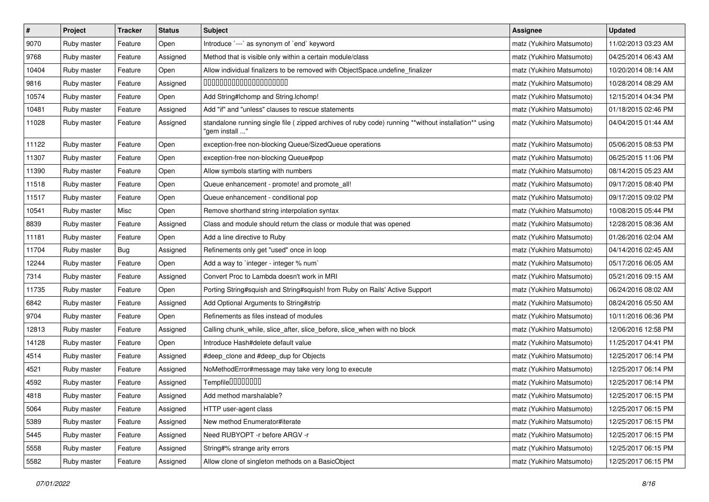| $\pmb{\#}$ | Project     | <b>Tracker</b> | <b>Status</b> | <b>Subject</b>                                                                                                         | <b>Assignee</b>           | <b>Updated</b>      |
|------------|-------------|----------------|---------------|------------------------------------------------------------------------------------------------------------------------|---------------------------|---------------------|
| 9070       | Ruby master | Feature        | Open          | Introduce `---` as synonym of `end` keyword                                                                            | matz (Yukihiro Matsumoto) | 11/02/2013 03:23 AM |
| 9768       | Ruby master | Feature        | Assigned      | Method that is visible only within a certain module/class                                                              | matz (Yukihiro Matsumoto) | 04/25/2014 06:43 AM |
| 10404      | Ruby master | Feature        | Open          | Allow individual finalizers to be removed with ObjectSpace.undefine_finalizer                                          | matz (Yukihiro Matsumoto) | 10/20/2014 08:14 AM |
| 9816       | Ruby master | Feature        | Assigned      | 00000000000000000000                                                                                                   | matz (Yukihiro Matsumoto) | 10/28/2014 08:29 AM |
| 10574      | Ruby master | Feature        | Open          | Add String#Ichomp and String.Ichomp!                                                                                   | matz (Yukihiro Matsumoto) | 12/15/2014 04:34 PM |
| 10481      | Ruby master | Feature        | Assigned      | Add "if" and "unless" clauses to rescue statements                                                                     | matz (Yukihiro Matsumoto) | 01/18/2015 02:46 PM |
| 11028      | Ruby master | Feature        | Assigned      | standalone running single file (zipped archives of ruby code) running **without installation** using<br>"gem install " | matz (Yukihiro Matsumoto) | 04/04/2015 01:44 AM |
| 11122      | Ruby master | Feature        | Open          | exception-free non-blocking Queue/SizedQueue operations                                                                | matz (Yukihiro Matsumoto) | 05/06/2015 08:53 PM |
| 11307      | Ruby master | Feature        | Open          | exception-free non-blocking Queue#pop                                                                                  | matz (Yukihiro Matsumoto) | 06/25/2015 11:06 PM |
| 11390      | Ruby master | Feature        | Open          | Allow symbols starting with numbers                                                                                    | matz (Yukihiro Matsumoto) | 08/14/2015 05:23 AM |
| 11518      | Ruby master | Feature        | Open          | Queue enhancement - promote! and promote_all!                                                                          | matz (Yukihiro Matsumoto) | 09/17/2015 08:40 PM |
| 11517      | Ruby master | Feature        | Open          | Queue enhancement - conditional pop                                                                                    | matz (Yukihiro Matsumoto) | 09/17/2015 09:02 PM |
| 10541      | Ruby master | Misc           | Open          | Remove shorthand string interpolation syntax                                                                           | matz (Yukihiro Matsumoto) | 10/08/2015 05:44 PM |
| 8839       | Ruby master | Feature        | Assigned      | Class and module should return the class or module that was opened                                                     | matz (Yukihiro Matsumoto) | 12/28/2015 08:36 AM |
| 11181      | Ruby master | Feature        | Open          | Add a line directive to Ruby                                                                                           | matz (Yukihiro Matsumoto) | 01/26/2016 02:04 AM |
| 11704      | Ruby master | Bug            | Assigned      | Refinements only get "used" once in loop                                                                               | matz (Yukihiro Matsumoto) | 04/14/2016 02:45 AM |
| 12244      | Ruby master | Feature        | Open          | Add a way to 'integer - integer % num'                                                                                 | matz (Yukihiro Matsumoto) | 05/17/2016 06:05 AM |
| 7314       | Ruby master | Feature        | Assigned      | Convert Proc to Lambda doesn't work in MRI                                                                             | matz (Yukihiro Matsumoto) | 05/21/2016 09:15 AM |
| 11735      | Ruby master | Feature        | Open          | Porting String#squish and String#squish! from Ruby on Rails' Active Support                                            | matz (Yukihiro Matsumoto) | 06/24/2016 08:02 AM |
| 6842       | Ruby master | Feature        | Assigned      | Add Optional Arguments to String#strip                                                                                 | matz (Yukihiro Matsumoto) | 08/24/2016 05:50 AM |
| 9704       | Ruby master | Feature        | Open          | Refinements as files instead of modules                                                                                | matz (Yukihiro Matsumoto) | 10/11/2016 06:36 PM |
| 12813      | Ruby master | Feature        | Assigned      | Calling chunk_while, slice_after, slice_before, slice_when with no block                                               | matz (Yukihiro Matsumoto) | 12/06/2016 12:58 PM |
| 14128      | Ruby master | Feature        | Open          | Introduce Hash#delete default value                                                                                    | matz (Yukihiro Matsumoto) | 11/25/2017 04:41 PM |
| 4514       | Ruby master | Feature        | Assigned      | #deep_clone and #deep_dup for Objects                                                                                  | matz (Yukihiro Matsumoto) | 12/25/2017 06:14 PM |
| 4521       | Ruby master | Feature        | Assigned      | NoMethodError#message may take very long to execute                                                                    | matz (Yukihiro Matsumoto) | 12/25/2017 06:14 PM |
| 4592       | Ruby master | Feature        | Assigned      | Tempfile0000000                                                                                                        | matz (Yukihiro Matsumoto) | 12/25/2017 06:14 PM |
| 4818       | Ruby master | Feature        | Assigned      | Add method marshalable?                                                                                                | matz (Yukihiro Matsumoto) | 12/25/2017 06:15 PM |
| 5064       | Ruby master | Feature        | Assigned      | HTTP user-agent class                                                                                                  | matz (Yukihiro Matsumoto) | 12/25/2017 06:15 PM |
| 5389       | Ruby master | Feature        | Assigned      | New method Enumerator#iterate                                                                                          | matz (Yukihiro Matsumoto) | 12/25/2017 06:15 PM |
| 5445       | Ruby master | Feature        | Assigned      | Need RUBYOPT - r before ARGV - r                                                                                       | matz (Yukihiro Matsumoto) | 12/25/2017 06:15 PM |
| 5558       | Ruby master | Feature        | Assigned      | String#% strange arity errors                                                                                          | matz (Yukihiro Matsumoto) | 12/25/2017 06:15 PM |
| 5582       | Ruby master | Feature        | Assigned      | Allow clone of singleton methods on a BasicObject                                                                      | matz (Yukihiro Matsumoto) | 12/25/2017 06:15 PM |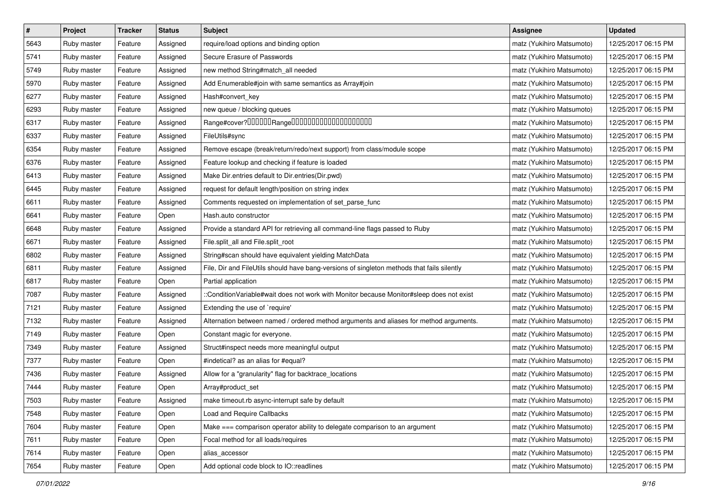| $\vert$ # | Project     | <b>Tracker</b> | <b>Status</b> | <b>Subject</b>                                                                             | <b>Assignee</b>           | <b>Updated</b>      |
|-----------|-------------|----------------|---------------|--------------------------------------------------------------------------------------------|---------------------------|---------------------|
| 5643      | Ruby master | Feature        | Assigned      | require/load options and binding option                                                    | matz (Yukihiro Matsumoto) | 12/25/2017 06:15 PM |
| 5741      | Ruby master | Feature        | Assigned      | Secure Erasure of Passwords                                                                | matz (Yukihiro Matsumoto) | 12/25/2017 06:15 PM |
| 5749      | Ruby master | Feature        | Assigned      | new method String#match_all needed                                                         | matz (Yukihiro Matsumoto) | 12/25/2017 06:15 PM |
| 5970      | Ruby master | Feature        | Assigned      | Add Enumerable#join with same semantics as Array#join                                      | matz (Yukihiro Matsumoto) | 12/25/2017 06:15 PM |
| 6277      | Ruby master | Feature        | Assigned      | Hash#convert_key                                                                           | matz (Yukihiro Matsumoto) | 12/25/2017 06:15 PM |
| 6293      | Ruby master | Feature        | Assigned      | new queue / blocking queues                                                                | matz (Yukihiro Matsumoto) | 12/25/2017 06:15 PM |
| 6317      | Ruby master | Feature        | Assigned      | Range#cover?000000Range00000000000000000000                                                | matz (Yukihiro Matsumoto) | 12/25/2017 06:15 PM |
| 6337      | Ruby master | Feature        | Assigned      | FileUtils#sync                                                                             | matz (Yukihiro Matsumoto) | 12/25/2017 06:15 PM |
| 6354      | Ruby master | Feature        | Assigned      | Remove escape (break/return/redo/next support) from class/module scope                     | matz (Yukihiro Matsumoto) | 12/25/2017 06:15 PM |
| 6376      | Ruby master | Feature        | Assigned      | Feature lookup and checking if feature is loaded                                           | matz (Yukihiro Matsumoto) | 12/25/2017 06:15 PM |
| 6413      | Ruby master | Feature        | Assigned      | Make Dir.entries default to Dir.entries(Dir.pwd)                                           | matz (Yukihiro Matsumoto) | 12/25/2017 06:15 PM |
| 6445      | Ruby master | Feature        | Assigned      | request for default length/position on string index                                        | matz (Yukihiro Matsumoto) | 12/25/2017 06:15 PM |
| 6611      | Ruby master | Feature        | Assigned      | Comments requested on implementation of set_parse_func                                     | matz (Yukihiro Matsumoto) | 12/25/2017 06:15 PM |
| 6641      | Ruby master | Feature        | Open          | Hash.auto constructor                                                                      | matz (Yukihiro Matsumoto) | 12/25/2017 06:15 PM |
| 6648      | Ruby master | Feature        | Assigned      | Provide a standard API for retrieving all command-line flags passed to Ruby                | matz (Yukihiro Matsumoto) | 12/25/2017 06:15 PM |
| 6671      | Ruby master | Feature        | Assigned      | File.split_all and File.split_root                                                         | matz (Yukihiro Matsumoto) | 12/25/2017 06:15 PM |
| 6802      | Ruby master | Feature        | Assigned      | String#scan should have equivalent yielding MatchData                                      | matz (Yukihiro Matsumoto) | 12/25/2017 06:15 PM |
| 6811      | Ruby master | Feature        | Assigned      | File, Dir and FileUtils should have bang-versions of singleton methods that fails silently | matz (Yukihiro Matsumoto) | 12/25/2017 06:15 PM |
| 6817      | Ruby master | Feature        | Open          | Partial application                                                                        | matz (Yukihiro Matsumoto) | 12/25/2017 06:15 PM |
| 7087      | Ruby master | Feature        | Assigned      | ::ConditionVariable#wait does not work with Monitor because Monitor#sleep does not exist   | matz (Yukihiro Matsumoto) | 12/25/2017 06:15 PM |
| 7121      | Ruby master | Feature        | Assigned      | Extending the use of `require'                                                             | matz (Yukihiro Matsumoto) | 12/25/2017 06:15 PM |
| 7132      | Ruby master | Feature        | Assigned      | Alternation between named / ordered method arguments and aliases for method arguments.     | matz (Yukihiro Matsumoto) | 12/25/2017 06:15 PM |
| 7149      | Ruby master | Feature        | Open          | Constant magic for everyone.                                                               | matz (Yukihiro Matsumoto) | 12/25/2017 06:15 PM |
| 7349      | Ruby master | Feature        | Assigned      | Struct#inspect needs more meaningful output                                                | matz (Yukihiro Matsumoto) | 12/25/2017 06:15 PM |
| 7377      | Ruby master | Feature        | Open          | #indetical? as an alias for #equal?                                                        | matz (Yukihiro Matsumoto) | 12/25/2017 06:15 PM |
| 7436      | Ruby master | Feature        | Assigned      | Allow for a "granularity" flag for backtrace_locations                                     | matz (Yukihiro Matsumoto) | 12/25/2017 06:15 PM |
| 7444      | Ruby master | Feature        | Open          | Array#product_set                                                                          | matz (Yukihiro Matsumoto) | 12/25/2017 06:15 PM |
| 7503      | Ruby master | Feature        | Assigned      | make timeout.rb async-interrupt safe by default                                            | matz (Yukihiro Matsumoto) | 12/25/2017 06:15 PM |
| 7548      | Ruby master | Feature        | Open          | <b>Load and Require Callbacks</b>                                                          | matz (Yukihiro Matsumoto) | 12/25/2017 06:15 PM |
| 7604      | Ruby master | Feature        | Open          | Make === comparison operator ability to delegate comparison to an argument                 | matz (Yukihiro Matsumoto) | 12/25/2017 06:15 PM |
| 7611      | Ruby master | Feature        | Open          | Focal method for all loads/requires                                                        | matz (Yukihiro Matsumoto) | 12/25/2017 06:15 PM |
| 7614      | Ruby master | Feature        | Open          | alias_accessor                                                                             | matz (Yukihiro Matsumoto) | 12/25/2017 06:15 PM |
| 7654      | Ruby master | Feature        | Open          | Add optional code block to IO::readlines                                                   | matz (Yukihiro Matsumoto) | 12/25/2017 06:15 PM |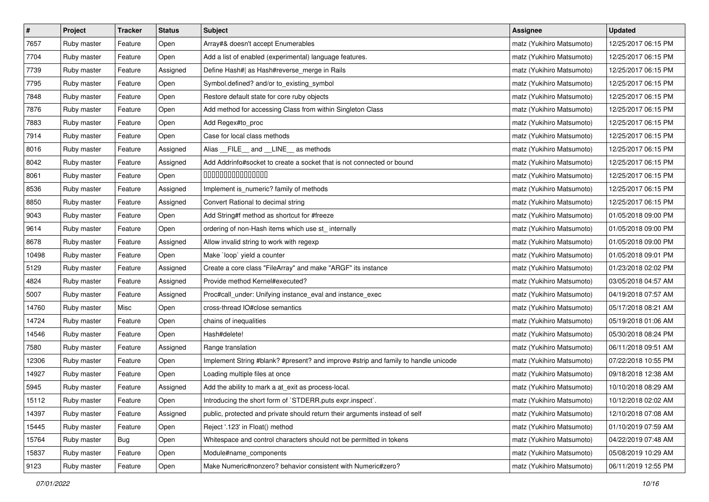| $\pmb{\#}$ | Project     | <b>Tracker</b> | <b>Status</b> | <b>Subject</b>                                                                     | <b>Assignee</b>           | <b>Updated</b>      |
|------------|-------------|----------------|---------------|------------------------------------------------------------------------------------|---------------------------|---------------------|
| 7657       | Ruby master | Feature        | Open          | Array#& doesn't accept Enumerables                                                 | matz (Yukihiro Matsumoto) | 12/25/2017 06:15 PM |
| 7704       | Ruby master | Feature        | Open          | Add a list of enabled (experimental) language features.                            | matz (Yukihiro Matsumoto) | 12/25/2017 06:15 PM |
| 7739       | Ruby master | Feature        | Assigned      | Define Hash#  as Hash#reverse_merge in Rails                                       | matz (Yukihiro Matsumoto) | 12/25/2017 06:15 PM |
| 7795       | Ruby master | Feature        | Open          | Symbol.defined? and/or to_existing_symbol                                          | matz (Yukihiro Matsumoto) | 12/25/2017 06:15 PM |
| 7848       | Ruby master | Feature        | Open          | Restore default state for core ruby objects                                        | matz (Yukihiro Matsumoto) | 12/25/2017 06:15 PM |
| 7876       | Ruby master | Feature        | Open          | Add method for accessing Class from within Singleton Class                         | matz (Yukihiro Matsumoto) | 12/25/2017 06:15 PM |
| 7883       | Ruby master | Feature        | Open          | Add Regex#to_proc                                                                  | matz (Yukihiro Matsumoto) | 12/25/2017 06:15 PM |
| 7914       | Ruby master | Feature        | Open          | Case for local class methods                                                       | matz (Yukihiro Matsumoto) | 12/25/2017 06:15 PM |
| 8016       | Ruby master | Feature        | Assigned      | Alias __FILE__ and __LINE__ as methods                                             | matz (Yukihiro Matsumoto) | 12/25/2017 06:15 PM |
| 8042       | Ruby master | Feature        | Assigned      | Add Addrinfo#socket to create a socket that is not connected or bound              | matz (Yukihiro Matsumoto) | 12/25/2017 06:15 PM |
| 8061       | Ruby master | Feature        | Open          | 000000000000000                                                                    | matz (Yukihiro Matsumoto) | 12/25/2017 06:15 PM |
| 8536       | Ruby master | Feature        | Assigned      | Implement is_numeric? family of methods                                            | matz (Yukihiro Matsumoto) | 12/25/2017 06:15 PM |
| 8850       | Ruby master | Feature        | Assigned      | Convert Rational to decimal string                                                 | matz (Yukihiro Matsumoto) | 12/25/2017 06:15 PM |
| 9043       | Ruby master | Feature        | Open          | Add String#f method as shortcut for #freeze                                        | matz (Yukihiro Matsumoto) | 01/05/2018 09:00 PM |
| 9614       | Ruby master | Feature        | Open          | ordering of non-Hash items which use st_ internally                                | matz (Yukihiro Matsumoto) | 01/05/2018 09:00 PM |
| 8678       | Ruby master | Feature        | Assigned      | Allow invalid string to work with regexp                                           | matz (Yukihiro Matsumoto) | 01/05/2018 09:00 PM |
| 10498      | Ruby master | Feature        | Open          | Make 'loop' yield a counter                                                        | matz (Yukihiro Matsumoto) | 01/05/2018 09:01 PM |
| 5129       | Ruby master | Feature        | Assigned      | Create a core class "FileArray" and make "ARGF" its instance                       | matz (Yukihiro Matsumoto) | 01/23/2018 02:02 PM |
| 4824       | Ruby master | Feature        | Assigned      | Provide method Kernel#executed?                                                    | matz (Yukihiro Matsumoto) | 03/05/2018 04:57 AM |
| 5007       | Ruby master | Feature        | Assigned      | Proc#call_under: Unifying instance_eval and instance_exec                          | matz (Yukihiro Matsumoto) | 04/19/2018 07:57 AM |
| 14760      | Ruby master | Misc           | Open          | cross-thread IO#close semantics                                                    | matz (Yukihiro Matsumoto) | 05/17/2018 08:21 AM |
| 14724      | Ruby master | Feature        | Open          | chains of inequalities                                                             | matz (Yukihiro Matsumoto) | 05/19/2018 01:06 AM |
| 14546      | Ruby master | Feature        | Open          | Hash#delete!                                                                       | matz (Yukihiro Matsumoto) | 05/30/2018 08:24 PM |
| 7580       | Ruby master | Feature        | Assigned      | Range translation                                                                  | matz (Yukihiro Matsumoto) | 06/11/2018 09:51 AM |
| 12306      | Ruby master | Feature        | Open          | Implement String #blank? #present? and improve #strip and family to handle unicode | matz (Yukihiro Matsumoto) | 07/22/2018 10:55 PM |
| 14927      | Ruby master | Feature        | Open          | Loading multiple files at once                                                     | matz (Yukihiro Matsumoto) | 09/18/2018 12:38 AM |
| 5945       | Ruby master | Feature        | Assigned      | Add the ability to mark a at_exit as process-local.                                | matz (Yukihiro Matsumoto) | 10/10/2018 08:29 AM |
| 15112      | Ruby master | Feature        | Open          | Introducing the short form of `STDERR.puts expr.inspect`.                          | matz (Yukihiro Matsumoto) | 10/12/2018 02:02 AM |
| 14397      | Ruby master | Feature        | Assigned      | public, protected and private should return their arguments instead of self        | matz (Yukihiro Matsumoto) | 12/10/2018 07:08 AM |
| 15445      | Ruby master | Feature        | Open          | Reject '.123' in Float() method                                                    | matz (Yukihiro Matsumoto) | 01/10/2019 07:59 AM |
| 15764      | Ruby master | Bug            | Open          | Whitespace and control characters should not be permitted in tokens                | matz (Yukihiro Matsumoto) | 04/22/2019 07:48 AM |
| 15837      | Ruby master | Feature        | Open          | Module#name_components                                                             | matz (Yukihiro Matsumoto) | 05/08/2019 10:29 AM |
| 9123       | Ruby master | Feature        | Open          | Make Numeric#nonzero? behavior consistent with Numeric#zero?                       | matz (Yukihiro Matsumoto) | 06/11/2019 12:55 PM |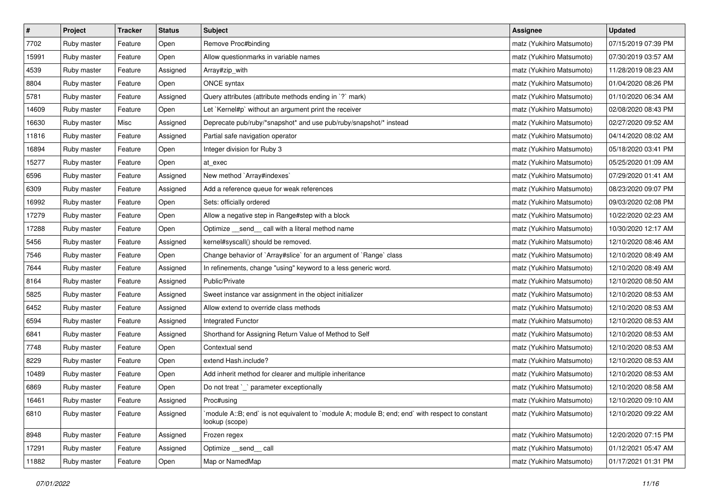| $\pmb{\#}$ | Project     | <b>Tracker</b> | <b>Status</b> | <b>Subject</b>                                                                                                   | <b>Assignee</b>           | <b>Updated</b>      |
|------------|-------------|----------------|---------------|------------------------------------------------------------------------------------------------------------------|---------------------------|---------------------|
| 7702       | Ruby master | Feature        | Open          | Remove Proc#binding                                                                                              | matz (Yukihiro Matsumoto) | 07/15/2019 07:39 PM |
| 15991      | Ruby master | Feature        | Open          | Allow questionmarks in variable names                                                                            | matz (Yukihiro Matsumoto) | 07/30/2019 03:57 AM |
| 4539       | Ruby master | Feature        | Assigned      | Array#zip_with                                                                                                   | matz (Yukihiro Matsumoto) | 11/28/2019 08:23 AM |
| 8804       | Ruby master | Feature        | Open          | ONCE syntax                                                                                                      | matz (Yukihiro Matsumoto) | 01/04/2020 08:26 PM |
| 5781       | Ruby master | Feature        | Assigned      | Query attributes (attribute methods ending in `?` mark)                                                          | matz (Yukihiro Matsumoto) | 01/10/2020 06:34 AM |
| 14609      | Ruby master | Feature        | Open          | Let `Kernel#p` without an argument print the receiver                                                            | matz (Yukihiro Matsumoto) | 02/08/2020 08:43 PM |
| 16630      | Ruby master | Misc           | Assigned      | Deprecate pub/ruby/*snapshot* and use pub/ruby/snapshot/* instead                                                | matz (Yukihiro Matsumoto) | 02/27/2020 09:52 AM |
| 11816      | Ruby master | Feature        | Assigned      | Partial safe navigation operator                                                                                 | matz (Yukihiro Matsumoto) | 04/14/2020 08:02 AM |
| 16894      | Ruby master | Feature        | Open          | Integer division for Ruby 3                                                                                      | matz (Yukihiro Matsumoto) | 05/18/2020 03:41 PM |
| 15277      | Ruby master | Feature        | Open          | at_exec                                                                                                          | matz (Yukihiro Matsumoto) | 05/25/2020 01:09 AM |
| 6596       | Ruby master | Feature        | Assigned      | New method `Array#indexes`                                                                                       | matz (Yukihiro Matsumoto) | 07/29/2020 01:41 AM |
| 6309       | Ruby master | Feature        | Assigned      | Add a reference queue for weak references                                                                        | matz (Yukihiro Matsumoto) | 08/23/2020 09:07 PM |
| 16992      | Ruby master | Feature        | Open          | Sets: officially ordered                                                                                         | matz (Yukihiro Matsumoto) | 09/03/2020 02:08 PM |
| 17279      | Ruby master | Feature        | Open          | Allow a negative step in Range#step with a block                                                                 | matz (Yukihiro Matsumoto) | 10/22/2020 02:23 AM |
| 17288      | Ruby master | Feature        | Open          | Optimize _send_ call with a literal method name                                                                  | matz (Yukihiro Matsumoto) | 10/30/2020 12:17 AM |
| 5456       | Ruby master | Feature        | Assigned      | kernel#syscall() should be removed.                                                                              | matz (Yukihiro Matsumoto) | 12/10/2020 08:46 AM |
| 7546       | Ruby master | Feature        | Open          | Change behavior of `Array#slice` for an argument of `Range` class                                                | matz (Yukihiro Matsumoto) | 12/10/2020 08:49 AM |
| 7644       | Ruby master | Feature        | Assigned      | In refinements, change "using" keyword to a less generic word.                                                   | matz (Yukihiro Matsumoto) | 12/10/2020 08:49 AM |
| 8164       | Ruby master | Feature        | Assigned      | Public/Private                                                                                                   | matz (Yukihiro Matsumoto) | 12/10/2020 08:50 AM |
| 5825       | Ruby master | Feature        | Assigned      | Sweet instance var assignment in the object initializer                                                          | matz (Yukihiro Matsumoto) | 12/10/2020 08:53 AM |
| 6452       | Ruby master | Feature        | Assigned      | Allow extend to override class methods                                                                           | matz (Yukihiro Matsumoto) | 12/10/2020 08:53 AM |
| 6594       | Ruby master | Feature        | Assigned      | Integrated Functor                                                                                               | matz (Yukihiro Matsumoto) | 12/10/2020 08:53 AM |
| 6841       | Ruby master | Feature        | Assigned      | Shorthand for Assigning Return Value of Method to Self                                                           | matz (Yukihiro Matsumoto) | 12/10/2020 08:53 AM |
| 7748       | Ruby master | Feature        | Open          | Contextual send                                                                                                  | matz (Yukihiro Matsumoto) | 12/10/2020 08:53 AM |
| 8229       | Ruby master | Feature        | Open          | extend Hash.include?                                                                                             | matz (Yukihiro Matsumoto) | 12/10/2020 08:53 AM |
| 10489      | Ruby master | Feature        | Open          | Add inherit method for clearer and multiple inheritance                                                          | matz (Yukihiro Matsumoto) | 12/10/2020 08:53 AM |
| 6869       | Ruby master | Feature        | Open          | Do not treat `_` parameter exceptionally                                                                         | matz (Yukihiro Matsumoto) | 12/10/2020 08:58 AM |
| 16461      | Ruby master | Feature        | Assigned      | Proc#using                                                                                                       | matz (Yukihiro Matsumoto) | 12/10/2020 09:10 AM |
| 6810       | Ruby master | Feature        | Assigned      | module A::B; end` is not equivalent to `module A; module B; end; end` with respect to constant<br>lookup (scope) | matz (Yukihiro Matsumoto) | 12/10/2020 09:22 AM |
| 8948       | Ruby master | Feature        | Assigned      | Frozen regex                                                                                                     | matz (Yukihiro Matsumoto) | 12/20/2020 07:15 PM |
| 17291      | Ruby master | Feature        | Assigned      | Optimize send call                                                                                               | matz (Yukihiro Matsumoto) | 01/12/2021 05:47 AM |
| 11882      | Ruby master | Feature        | Open          | Map or NamedMap                                                                                                  | matz (Yukihiro Matsumoto) | 01/17/2021 01:31 PM |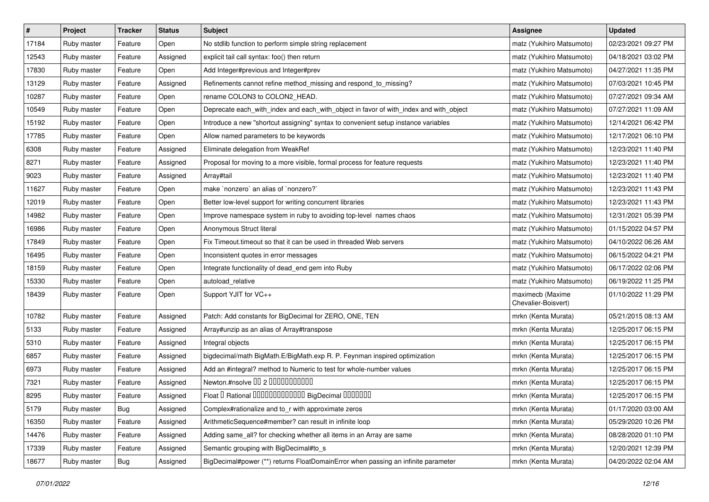| $\vert$ # | Project     | <b>Tracker</b> | <b>Status</b> | <b>Subject</b>                                                                        | <b>Assignee</b>                         | <b>Updated</b>      |
|-----------|-------------|----------------|---------------|---------------------------------------------------------------------------------------|-----------------------------------------|---------------------|
| 17184     | Ruby master | Feature        | Open          | No stdlib function to perform simple string replacement                               | matz (Yukihiro Matsumoto)               | 02/23/2021 09:27 PM |
| 12543     | Ruby master | Feature        | Assigned      | explicit tail call syntax: foo() then return                                          | matz (Yukihiro Matsumoto)               | 04/18/2021 03:02 PM |
| 17830     | Ruby master | Feature        | Open          | Add Integer#previous and Integer#prev                                                 | matz (Yukihiro Matsumoto)               | 04/27/2021 11:35 PM |
| 13129     | Ruby master | Feature        | Assigned      | Refinements cannot refine method_missing and respond_to_missing?                      | matz (Yukihiro Matsumoto)               | 07/03/2021 10:45 PM |
| 10287     | Ruby master | Feature        | Open          | rename COLON3 to COLON2_HEAD.                                                         | matz (Yukihiro Matsumoto)               | 07/27/2021 09:34 AM |
| 10549     | Ruby master | Feature        | Open          | Deprecate each_with_index and each_with_object in favor of with_index and with_object | matz (Yukihiro Matsumoto)               | 07/27/2021 11:09 AM |
| 15192     | Ruby master | Feature        | Open          | Introduce a new "shortcut assigning" syntax to convenient setup instance variables    | matz (Yukihiro Matsumoto)               | 12/14/2021 06:42 PM |
| 17785     | Ruby master | Feature        | Open          | Allow named parameters to be keywords                                                 | matz (Yukihiro Matsumoto)               | 12/17/2021 06:10 PM |
| 6308      | Ruby master | Feature        | Assigned      | Eliminate delegation from WeakRef                                                     | matz (Yukihiro Matsumoto)               | 12/23/2021 11:40 PM |
| 8271      | Ruby master | Feature        | Assigned      | Proposal for moving to a more visible, formal process for feature requests            | matz (Yukihiro Matsumoto)               | 12/23/2021 11:40 PM |
| 9023      | Ruby master | Feature        | Assigned      | Array#tail                                                                            | matz (Yukihiro Matsumoto)               | 12/23/2021 11:40 PM |
| 11627     | Ruby master | Feature        | Open          | make `nonzero` an alias of `nonzero?`                                                 | matz (Yukihiro Matsumoto)               | 12/23/2021 11:43 PM |
| 12019     | Ruby master | Feature        | Open          | Better low-level support for writing concurrent libraries                             | matz (Yukihiro Matsumoto)               | 12/23/2021 11:43 PM |
| 14982     | Ruby master | Feature        | Open          | Improve namespace system in ruby to avoiding top-level names chaos                    | matz (Yukihiro Matsumoto)               | 12/31/2021 05:39 PM |
| 16986     | Ruby master | Feature        | Open          | Anonymous Struct literal                                                              | matz (Yukihiro Matsumoto)               | 01/15/2022 04:57 PM |
| 17849     | Ruby master | Feature        | Open          | Fix Timeout.timeout so that it can be used in threaded Web servers                    | matz (Yukihiro Matsumoto)               | 04/10/2022 06:26 AM |
| 16495     | Ruby master | Feature        | Open          | Inconsistent quotes in error messages                                                 | matz (Yukihiro Matsumoto)               | 06/15/2022 04:21 PM |
| 18159     | Ruby master | Feature        | Open          | Integrate functionality of dead_end gem into Ruby                                     | matz (Yukihiro Matsumoto)               | 06/17/2022 02:06 PM |
| 15330     | Ruby master | Feature        | Open          | autoload relative                                                                     | matz (Yukihiro Matsumoto)               | 06/19/2022 11:25 PM |
| 18439     | Ruby master | Feature        | Open          | Support YJIT for VC++                                                                 | maximecb (Maxime<br>Chevalier-Boisvert) | 01/10/2022 11:29 PM |
| 10782     | Ruby master | Feature        | Assigned      | Patch: Add constants for BigDecimal for ZERO, ONE, TEN                                | mrkn (Kenta Murata)                     | 05/21/2015 08:13 AM |
| 5133      | Ruby master | Feature        | Assigned      | Array#unzip as an alias of Array#transpose                                            | mrkn (Kenta Murata)                     | 12/25/2017 06:15 PM |
| 5310      | Ruby master | Feature        | Assigned      | Integral objects                                                                      | mrkn (Kenta Murata)                     | 12/25/2017 06:15 PM |
| 6857      | Ruby master | Feature        | Assigned      | bigdecimal/math BigMath.E/BigMath.exp R. P. Feynman inspired optimization             | mrkn (Kenta Murata)                     | 12/25/2017 06:15 PM |
| 6973      | Ruby master | Feature        | Assigned      | Add an #integral? method to Numeric to test for whole-number values                   | mrkn (Kenta Murata)                     | 12/25/2017 06:15 PM |
| 7321      | Ruby master | Feature        | Assigned      | Newton.#nsolve 00 2 0000000000                                                        | mrkn (Kenta Murata)                     | 12/25/2017 06:15 PM |
| 8295      | Ruby master | Feature        | Assigned      | Float I Rational 0000000000000 BigDecimal 0000000                                     | mrkn (Kenta Murata)                     | 12/25/2017 06:15 PM |
| 5179      | Ruby master | <b>Bug</b>     | Assigned      | Complex#rationalize and to r with approximate zeros                                   | mrkn (Kenta Murata)                     | 01/17/2020 03:00 AM |
| 16350     | Ruby master | Feature        | Assigned      | ArithmeticSequence#member? can result in infinite loop                                | mrkn (Kenta Murata)                     | 05/29/2020 10:26 PM |
| 14476     | Ruby master | Feature        | Assigned      | Adding same_all? for checking whether all items in an Array are same                  | mrkn (Kenta Murata)                     | 08/28/2020 01:10 PM |
| 17339     | Ruby master | Feature        | Assigned      | Semantic grouping with BigDecimal#to_s                                                | mrkn (Kenta Murata)                     | 12/20/2021 12:39 PM |
| 18677     | Ruby master | Bug            | Assigned      | BigDecimal#power (**) returns FloatDomainError when passing an infinite parameter     | mrkn (Kenta Murata)                     | 04/20/2022 02:04 AM |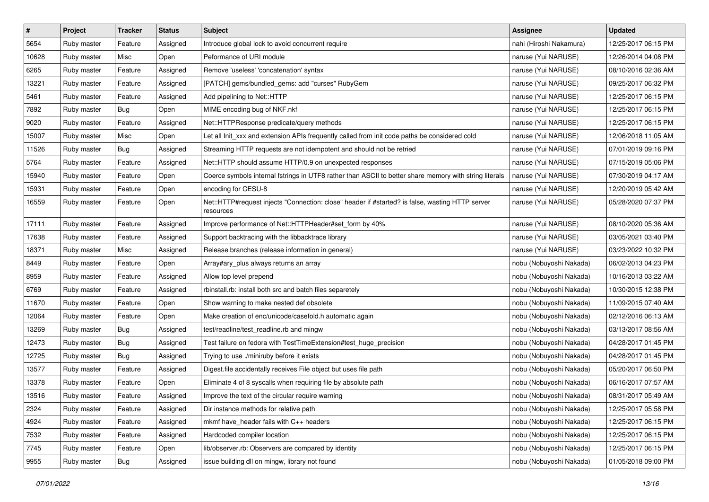| $\pmb{\#}$ | Project     | <b>Tracker</b> | <b>Status</b> | <b>Subject</b>                                                                                               | <b>Assignee</b>         | <b>Updated</b>      |
|------------|-------------|----------------|---------------|--------------------------------------------------------------------------------------------------------------|-------------------------|---------------------|
| 5654       | Ruby master | Feature        | Assigned      | Introduce global lock to avoid concurrent require                                                            | nahi (Hiroshi Nakamura) | 12/25/2017 06:15 PM |
| 10628      | Ruby master | Misc           | Open          | Peformance of URI module                                                                                     | naruse (Yui NARUSE)     | 12/26/2014 04:08 PM |
| 6265       | Ruby master | Feature        | Assigned      | Remove 'useless' 'concatenation' syntax                                                                      | naruse (Yui NARUSE)     | 08/10/2016 02:36 AM |
| 13221      | Ruby master | Feature        | Assigned      | [PATCH] gems/bundled_gems: add "curses" RubyGem                                                              | naruse (Yui NARUSE)     | 09/25/2017 06:32 PM |
| 5461       | Ruby master | Feature        | Assigned      | Add pipelining to Net::HTTP                                                                                  | naruse (Yui NARUSE)     | 12/25/2017 06:15 PM |
| 7892       | Ruby master | Bug            | Open          | MIME encoding bug of NKF.nkf                                                                                 | naruse (Yui NARUSE)     | 12/25/2017 06:15 PM |
| 9020       | Ruby master | Feature        | Assigned      | Net::HTTPResponse predicate/query methods                                                                    | naruse (Yui NARUSE)     | 12/25/2017 06:15 PM |
| 15007      | Ruby master | Misc           | Open          | Let all Init_xxx and extension APIs frequently called from init code paths be considered cold                | naruse (Yui NARUSE)     | 12/06/2018 11:05 AM |
| 11526      | Ruby master | <b>Bug</b>     | Assigned      | Streaming HTTP requests are not idempotent and should not be retried                                         | naruse (Yui NARUSE)     | 07/01/2019 09:16 PM |
| 5764       | Ruby master | Feature        | Assigned      | Net::HTTP should assume HTTP/0.9 on unexpected responses                                                     | naruse (Yui NARUSE)     | 07/15/2019 05:06 PM |
| 15940      | Ruby master | Feature        | Open          | Coerce symbols internal fstrings in UTF8 rather than ASCII to better share memory with string literals       | naruse (Yui NARUSE)     | 07/30/2019 04:17 AM |
| 15931      | Ruby master | Feature        | Open          | encoding for CESU-8                                                                                          | naruse (Yui NARUSE)     | 12/20/2019 05:42 AM |
| 16559      | Ruby master | Feature        | Open          | Net::HTTP#request injects "Connection: close" header if #started? is false, wasting HTTP server<br>resources | naruse (Yui NARUSE)     | 05/28/2020 07:37 PM |
| 17111      | Ruby master | Feature        | Assigned      | Improve performance of Net::HTTPHeader#set_form by 40%                                                       | naruse (Yui NARUSE)     | 08/10/2020 05:36 AM |
| 17638      | Ruby master | Feature        | Assigned      | Support backtracing with the libbacktrace library                                                            | naruse (Yui NARUSE)     | 03/05/2021 03:40 PM |
| 18371      | Ruby master | Misc           | Assigned      | Release branches (release information in general)                                                            | naruse (Yui NARUSE)     | 03/23/2022 10:32 PM |
| 8449       | Ruby master | Feature        | Open          | Array#ary plus always returns an array                                                                       | nobu (Nobuyoshi Nakada) | 06/02/2013 04:23 PM |
| 8959       | Ruby master | Feature        | Assigned      | Allow top level prepend                                                                                      | nobu (Nobuyoshi Nakada) | 10/16/2013 03:22 AM |
| 6769       | Ruby master | Feature        | Assigned      | rbinstall.rb: install both src and batch files separetely                                                    | nobu (Nobuyoshi Nakada) | 10/30/2015 12:38 PM |
| 11670      | Ruby master | Feature        | Open          | Show warning to make nested def obsolete                                                                     | nobu (Nobuyoshi Nakada) | 11/09/2015 07:40 AM |
| 12064      | Ruby master | Feature        | Open          | Make creation of enc/unicode/casefold.h automatic again                                                      | nobu (Nobuyoshi Nakada) | 02/12/2016 06:13 AM |
| 13269      | Ruby master | Bug            | Assigned      | test/readline/test_readline.rb and mingw                                                                     | nobu (Nobuyoshi Nakada) | 03/13/2017 08:56 AM |
| 12473      | Ruby master | <b>Bug</b>     | Assigned      | Test failure on fedora with TestTimeExtension#test_huge_precision                                            | nobu (Nobuyoshi Nakada) | 04/28/2017 01:45 PM |
| 12725      | Ruby master | <b>Bug</b>     | Assigned      | Trying to use ./miniruby before it exists                                                                    | nobu (Nobuyoshi Nakada) | 04/28/2017 01:45 PM |
| 13577      | Ruby master | Feature        | Assigned      | Digest.file accidentally receives File object but uses file path                                             | nobu (Nobuyoshi Nakada) | 05/20/2017 06:50 PM |
| 13378      | Ruby master | Feature        | Open          | Eliminate 4 of 8 syscalls when requiring file by absolute path                                               | nobu (Nobuyoshi Nakada) | 06/16/2017 07:57 AM |
| 13516      | Ruby master | Feature        | Assigned      | Improve the text of the circular require warning                                                             | nobu (Nobuyoshi Nakada) | 08/31/2017 05:49 AM |
| 2324       | Ruby master | Feature        | Assigned      | Dir instance methods for relative path                                                                       | nobu (Nobuyoshi Nakada) | 12/25/2017 05:58 PM |
| 4924       | Ruby master | Feature        | Assigned      | mkmf have_header fails with C++ headers                                                                      | nobu (Nobuyoshi Nakada) | 12/25/2017 06:15 PM |
| 7532       | Ruby master | Feature        | Assigned      | Hardcoded compiler location                                                                                  | nobu (Nobuyoshi Nakada) | 12/25/2017 06:15 PM |
| 7745       | Ruby master | Feature        | Open          | lib/observer.rb: Observers are compared by identity                                                          | nobu (Nobuyoshi Nakada) | 12/25/2017 06:15 PM |
| 9955       | Ruby master | Bug            | Assigned      | issue building dll on mingw, library not found                                                               | nobu (Nobuyoshi Nakada) | 01/05/2018 09:00 PM |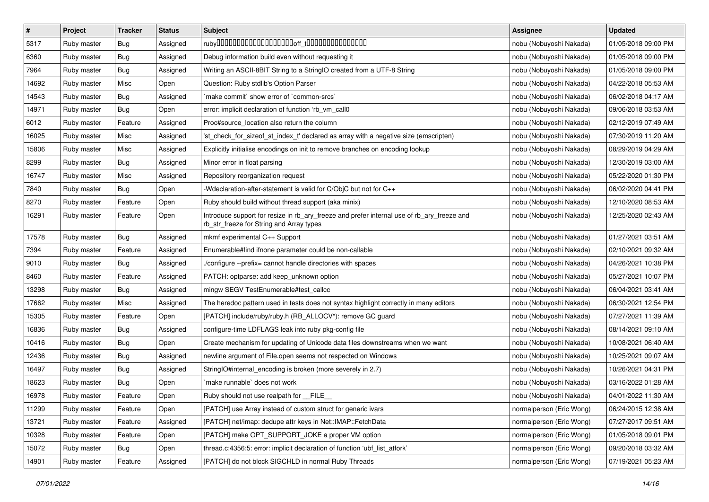| $\pmb{\#}$ | Project     | <b>Tracker</b> | <b>Status</b> | <b>Subject</b>                                                                                                                         | <b>Assignee</b>          | <b>Updated</b>      |
|------------|-------------|----------------|---------------|----------------------------------------------------------------------------------------------------------------------------------------|--------------------------|---------------------|
| 5317       | Ruby master | Bug            | Assigned      |                                                                                                                                        | nobu (Nobuyoshi Nakada)  | 01/05/2018 09:00 PM |
| 6360       | Ruby master | Bug            | Assigned      | Debug information build even without requesting it                                                                                     | nobu (Nobuyoshi Nakada)  | 01/05/2018 09:00 PM |
| 7964       | Ruby master | Bug            | Assigned      | Writing an ASCII-8BIT String to a StringIO created from a UTF-8 String                                                                 | nobu (Nobuyoshi Nakada)  | 01/05/2018 09:00 PM |
| 14692      | Ruby master | Misc           | Open          | Question: Ruby stdlib's Option Parser                                                                                                  | nobu (Nobuyoshi Nakada)  | 04/22/2018 05:53 AM |
| 14543      | Ruby master | Bug            | Assigned      | `make commit` show error of `common-srcs`                                                                                              | nobu (Nobuyoshi Nakada)  | 06/02/2018 04:17 AM |
| 14971      | Ruby master | Bug            | Open          | error: implicit declaration of function 'rb vm call0                                                                                   | nobu (Nobuyoshi Nakada)  | 09/06/2018 03:53 AM |
| 6012       | Ruby master | Feature        | Assigned      | Proc#source_location also return the column                                                                                            | nobu (Nobuyoshi Nakada)  | 02/12/2019 07:49 AM |
| 16025      | Ruby master | Misc           | Assigned      | 'st check for sizeof st index t' declared as array with a negative size (emscripten)                                                   | nobu (Nobuyoshi Nakada)  | 07/30/2019 11:20 AM |
| 15806      | Ruby master | Misc           | Assigned      | Explicitly initialise encodings on init to remove branches on encoding lookup                                                          | nobu (Nobuyoshi Nakada)  | 08/29/2019 04:29 AM |
| 8299       | Ruby master | <b>Bug</b>     | Assigned      | Minor error in float parsing                                                                                                           | nobu (Nobuyoshi Nakada)  | 12/30/2019 03:00 AM |
| 16747      | Ruby master | Misc           | Assigned      | Repository reorganization request                                                                                                      | nobu (Nobuyoshi Nakada)  | 05/22/2020 01:30 PM |
| 7840       | Ruby master | Bug            | Open          | -Wdeclaration-after-statement is valid for C/ObjC but not for C++                                                                      | nobu (Nobuyoshi Nakada)  | 06/02/2020 04:41 PM |
| 8270       | Ruby master | Feature        | Open          | Ruby should build without thread support (aka minix)                                                                                   | nobu (Nobuyoshi Nakada)  | 12/10/2020 08:53 AM |
| 16291      | Ruby master | Feature        | Open          | Introduce support for resize in rb_ary_freeze and prefer internal use of rb_ary_freeze and<br>rb_str_freeze for String and Array types | nobu (Nobuyoshi Nakada)  | 12/25/2020 02:43 AM |
| 17578      | Ruby master | Bug            | Assigned      | mkmf experimental C++ Support                                                                                                          | nobu (Nobuyoshi Nakada)  | 01/27/2021 03:51 AM |
| 7394       | Ruby master | Feature        | Assigned      | Enumerable#find ifnone parameter could be non-callable                                                                                 | nobu (Nobuyoshi Nakada)  | 02/10/2021 09:32 AM |
| 9010       | Ruby master | Bug            | Assigned      | ./configure --prefix= cannot handle directories with spaces                                                                            | nobu (Nobuyoshi Nakada)  | 04/26/2021 10:38 PM |
| 8460       | Ruby master | Feature        | Assigned      | PATCH: optparse: add keep_unknown option                                                                                               | nobu (Nobuyoshi Nakada)  | 05/27/2021 10:07 PM |
| 13298      | Ruby master | Bug            | Assigned      | mingw SEGV TestEnumerable#test_callcc                                                                                                  | nobu (Nobuyoshi Nakada)  | 06/04/2021 03:41 AM |
| 17662      | Ruby master | Misc           | Assigned      | The heredoc pattern used in tests does not syntax highlight correctly in many editors                                                  | nobu (Nobuyoshi Nakada)  | 06/30/2021 12:54 PM |
| 15305      | Ruby master | Feature        | Open          | [PATCH] include/ruby/ruby.h (RB_ALLOCV*): remove GC guard                                                                              | nobu (Nobuyoshi Nakada)  | 07/27/2021 11:39 AM |
| 16836      | Ruby master | Bug            | Assigned      | configure-time LDFLAGS leak into ruby pkg-config file                                                                                  | nobu (Nobuyoshi Nakada)  | 08/14/2021 09:10 AM |
| 10416      | Ruby master | <b>Bug</b>     | Open          | Create mechanism for updating of Unicode data files downstreams when we want                                                           | nobu (Nobuyoshi Nakada)  | 10/08/2021 06:40 AM |
| 12436      | Ruby master | Bug            | Assigned      | newline argument of File.open seems not respected on Windows                                                                           | nobu (Nobuyoshi Nakada)  | 10/25/2021 09:07 AM |
| 16497      | Ruby master | Bug            | Assigned      | StringIO#internal_encoding is broken (more severely in 2.7)                                                                            | nobu (Nobuyoshi Nakada)  | 10/26/2021 04:31 PM |
| 18623      | Ruby master | Bug            | Open          | `make runnable` does not work                                                                                                          | nobu (Nobuyoshi Nakada)  | 03/16/2022 01:28 AM |
| 16978      | Ruby master | Feature        | Open          | Ruby should not use realpath for __FILE__                                                                                              | nobu (Nobuyoshi Nakada)  | 04/01/2022 11:30 AM |
| 11299      | Ruby master | Feature        | Open          | [PATCH] use Array instead of custom struct for generic ivars                                                                           | normalperson (Eric Wong) | 06/24/2015 12:38 AM |
| 13721      | Ruby master | Feature        | Assigned      | [PATCH] net/imap: dedupe attr keys in Net::IMAP::FetchData                                                                             | normalperson (Eric Wong) | 07/27/2017 09:51 AM |
| 10328      | Ruby master | Feature        | Open          | [PATCH] make OPT_SUPPORT_JOKE a proper VM option                                                                                       | normalperson (Eric Wong) | 01/05/2018 09:01 PM |
| 15072      | Ruby master | <b>Bug</b>     | Open          | thread.c:4356:5: error: implicit declaration of function 'ubf list atfork'                                                             | normalperson (Eric Wong) | 09/20/2018 03:32 AM |
| 14901      | Ruby master | Feature        | Assigned      | [PATCH] do not block SIGCHLD in normal Ruby Threads                                                                                    | normalperson (Eric Wong) | 07/19/2021 05:23 AM |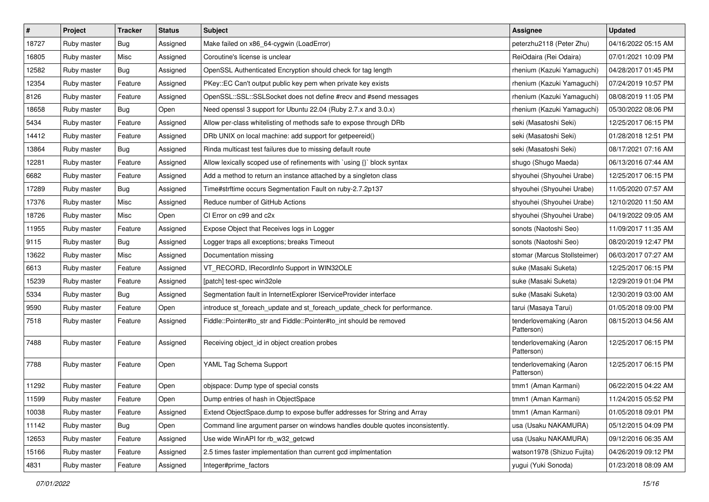| $\sharp$ | Project     | Tracker | <b>Status</b> | <b>Subject</b>                                                                | <b>Assignee</b>                       | <b>Updated</b>      |
|----------|-------------|---------|---------------|-------------------------------------------------------------------------------|---------------------------------------|---------------------|
| 18727    | Ruby master | Bug     | Assigned      | Make failed on x86_64-cygwin (LoadError)                                      | peterzhu2118 (Peter Zhu)              | 04/16/2022 05:15 AM |
| 16805    | Ruby master | Misc    | Assigned      | Coroutine's license is unclear                                                | ReiOdaira (Rei Odaira)                | 07/01/2021 10:09 PM |
| 12582    | Ruby master | Bug     | Assigned      | OpenSSL Authenticated Encryption should check for tag length                  | rhenium (Kazuki Yamaguchi)            | 04/28/2017 01:45 PM |
| 12354    | Ruby master | Feature | Assigned      | PKey::EC Can't output public key pem when private key exists                  | rhenium (Kazuki Yamaguchi)            | 07/24/2019 10:57 PM |
| 8126     | Ruby master | Feature | Assigned      | OpenSSL::SSL::SSLSocket does not define #recv and #send messages              | rhenium (Kazuki Yamaguchi)            | 08/08/2019 11:05 PM |
| 18658    | Ruby master | Bug     | Open          | Need openssl 3 support for Ubuntu 22.04 (Ruby 2.7.x and 3.0.x)                | rhenium (Kazuki Yamaguchi)            | 05/30/2022 08:06 PM |
| 5434     | Ruby master | Feature | Assigned      | Allow per-class whitelisting of methods safe to expose through DRb            | seki (Masatoshi Seki)                 | 12/25/2017 06:15 PM |
| 14412    | Ruby master | Feature | Assigned      | DRb UNIX on local machine: add support for getpeereid()                       | seki (Masatoshi Seki)                 | 01/28/2018 12:51 PM |
| 13864    | Ruby master | Bug     | Assigned      | Rinda multicast test failures due to missing default route                    | seki (Masatoshi Seki)                 | 08/17/2021 07:16 AM |
| 12281    | Ruby master | Feature | Assigned      | Allow lexically scoped use of refinements with `using {}` block syntax        | shugo (Shugo Maeda)                   | 06/13/2016 07:44 AM |
| 6682     | Ruby master | Feature | Assigned      | Add a method to return an instance attached by a singleton class              | shyouhei (Shyouhei Urabe)             | 12/25/2017 06:15 PM |
| 17289    | Ruby master | Bug     | Assigned      | Time#strftime occurs Segmentation Fault on ruby-2.7.2p137                     | shyouhei (Shyouhei Urabe)             | 11/05/2020 07:57 AM |
| 17376    | Ruby master | Misc    | Assigned      | Reduce number of GitHub Actions                                               | shyouhei (Shyouhei Urabe)             | 12/10/2020 11:50 AM |
| 18726    | Ruby master | Misc    | Open          | CI Error on c99 and c2x                                                       | shyouhei (Shyouhei Urabe)             | 04/19/2022 09:05 AM |
| 11955    | Ruby master | Feature | Assigned      | Expose Object that Receives logs in Logger                                    | sonots (Naotoshi Seo)                 | 11/09/2017 11:35 AM |
| 9115     | Ruby master | Bug     | Assigned      | Logger traps all exceptions; breaks Timeout                                   | sonots (Naotoshi Seo)                 | 08/20/2019 12:47 PM |
| 13622    | Ruby master | Misc    | Assigned      | Documentation missing                                                         | stomar (Marcus Stollsteimer)          | 06/03/2017 07:27 AM |
| 6613     | Ruby master | Feature | Assigned      | VT_RECORD, IRecordInfo Support in WIN32OLE                                    | suke (Masaki Suketa)                  | 12/25/2017 06:15 PM |
| 15239    | Ruby master | Feature | Assigned      | [patch] test-spec win32ole                                                    | suke (Masaki Suketa)                  | 12/29/2019 01:04 PM |
| 5334     | Ruby master | Bug     | Assigned      | Segmentation fault in InternetExplorer IServiceProvider interface             | suke (Masaki Suketa)                  | 12/30/2019 03:00 AM |
| 9590     | Ruby master | Feature | Open          | introduce st_foreach_update and st_foreach_update_check for performance.      | tarui (Masaya Tarui)                  | 01/05/2018 09:00 PM |
| 7518     | Ruby master | Feature | Assigned      | Fiddle::Pointer#to_str and Fiddle::Pointer#to_int should be removed           | tenderlovemaking (Aaron<br>Patterson) | 08/15/2013 04:56 AM |
| 7488     | Ruby master | Feature | Assigned      | Receiving object_id in object creation probes                                 | tenderlovemaking (Aaron<br>Patterson) | 12/25/2017 06:15 PM |
| 7788     | Ruby master | Feature | Open          | YAML Tag Schema Support                                                       | tenderlovemaking (Aaron<br>Patterson) | 12/25/2017 06:15 PM |
| 11292    | Ruby master | Feature | Open          | objspace: Dump type of special consts                                         | tmm1 (Aman Karmani)                   | 06/22/2015 04:22 AM |
| 11599    | Ruby master | Feature | Open          | Dump entries of hash in ObjectSpace                                           | tmm1 (Aman Karmani)                   | 11/24/2015 05:52 PM |
| 10038    | Ruby master | Feature | Assigned      | Extend ObjectSpace.dump to expose buffer addresses for String and Array       | tmm1 (Aman Karmani)                   | 01/05/2018 09:01 PM |
| 11142    | Ruby master | Bug     | Open          | Command line argument parser on windows handles double quotes inconsistently. | usa (Usaku NAKAMURA)                  | 05/12/2015 04:09 PM |
| 12653    | Ruby master | Feature | Assigned      | Use wide WinAPI for rb_w32_getcwd                                             | usa (Usaku NAKAMURA)                  | 09/12/2016 06:35 AM |
| 15166    | Ruby master | Feature | Assigned      | 2.5 times faster implementation than current gcd implmentation                | watson1978 (Shizuo Fujita)            | 04/26/2019 09:12 PM |
| 4831     | Ruby master | Feature | Assigned      | Integer#prime_factors                                                         | yugui (Yuki Sonoda)                   | 01/23/2018 08:09 AM |